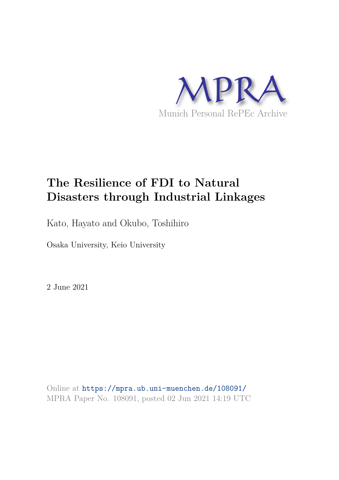

# **The Resilience of FDI to Natural Disasters through Industrial Linkages**

Kato, Hayato and Okubo, Toshihiro

Osaka University, Keio University

2 June 2021

Online at https://mpra.ub.uni-muenchen.de/108091/ MPRA Paper No. 108091, posted 02 Jun 2021 14:19 UTC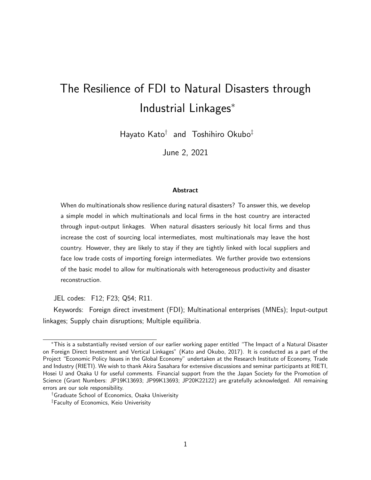# The Resilience of FDI to Natural Disasters through Industrial Linkages<sup>∗</sup>

Hayato Kato† and Toshihiro Okubo‡

June 2, 2021

#### Abstract

When do multinationals show resilience during natural disasters? To answer this, we develop a simple model in which multinationals and local firms in the host country are interacted through input-output linkages. When natural disasters seriously hit local firms and thus increase the cost of sourcing local intermediates, most multinationals may leave the host country. However, they are likely to stay if they are tightly linked with local suppliers and face low trade costs of importing foreign intermediates. We further provide two extensions of the basic model to allow for multinationals with heterogeneous productivity and disaster reconstruction.

JEL codes: F12; F23; Q54; R11.

Keywords: Foreign direct investment (FDI); Multinational enterprises (MNEs); Input-output linkages; Supply chain disruptions; Multiple equilibria.

<sup>∗</sup>This is a substantially revised version of our earlier working paper entitled "The Impact of a Natural Disaster on Foreign Direct Investment and Vertical Linkages" (Kato and Okubo, 2017). It is conducted as a part of the Project "Economic Policy Issues in the Global Economy" undertaken at the Research Institute of Economy, Trade and Industry (RIETI). We wish to thank Akira Sasahara for extensive discussions and seminar participants at RIETI, Hosei U and Osaka U for useful comments. Financial support from the the Japan Society for the Promotion of Science (Grant Numbers: JP19K13693; JP99K13693; JP20K22122) are gratefully acknowledged. All remaining errors are our sole responsibility.

<sup>†</sup>Graduate School of Economics, Osaka Univerisity

<sup>‡</sup>Faculty of Economics, Keio Univerisity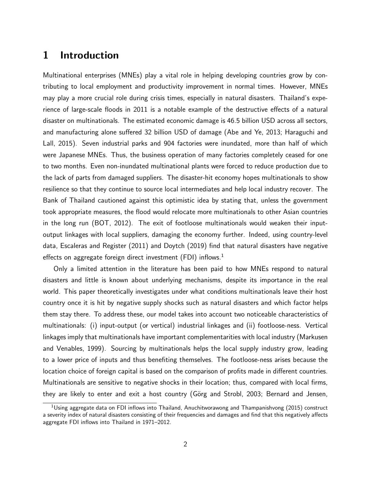# 1 Introduction

Multinational enterprises (MNEs) play a vital role in helping developing countries grow by contributing to local employment and productivity improvement in normal times. However, MNEs may play a more crucial role during crisis times, especially in natural disasters. Thailand's experience of large-scale floods in 2011 is a notable example of the destructive effects of a natural disaster on multinationals. The estimated economic damage is 46.5 billion USD across all sectors, and manufacturing alone suffered 32 billion USD of damage (Abe and Ye, 2013; Haraguchi and Lall, 2015). Seven industrial parks and 904 factories were inundated, more than half of which were Japanese MNEs. Thus, the business operation of many factories completely ceased for one to two months. Even non-inundated multinational plants were forced to reduce production due to the lack of parts from damaged suppliers. The disaster-hit economy hopes multinationals to show resilience so that they continue to source local intermediates and help local industry recover. The Bank of Thailand cautioned against this optimistic idea by stating that, unless the government took appropriate measures, the flood would relocate more multinationals to other Asian countries in the long run (BOT, 2012). The exit of footloose multinationals would weaken their inputoutput linkages with local suppliers, damaging the economy further. Indeed, using country-level data, Escaleras and Register (2011) and Doytch (2019) find that natural disasters have negative effects on aggregate foreign direct investment (FDI) inflows.<sup>1</sup>

Only a limited attention in the literature has been paid to how MNEs respond to natural disasters and little is known about underlying mechanisms, despite its importance in the real world. This paper theoretically investigates under what conditions multinationals leave their host country once it is hit by negative supply shocks such as natural disasters and which factor helps them stay there. To address these, our model takes into account two noticeable characteristics of multinationals: (i) input-output (or vertical) industrial linkages and (ii) footloose-ness. Vertical linkages imply that multinationals have important complementarities with local industry (Markusen and Venables, 1999). Sourcing by multinationals helps the local supply industry grow, leading to a lower price of inputs and thus benefiting themselves. The footloose-ness arises because the location choice of foreign capital is based on the comparison of profits made in different countries. Multinationals are sensitive to negative shocks in their location; thus, compared with local firms, they are likely to enter and exit a host country (Görg and Strobl, 2003; Bernard and Jensen,

<sup>&</sup>lt;sup>1</sup>Using aggregate data on FDI inflows into Thailand, Anuchitworawong and Thampanishvong (2015) construct a severity index of natural disasters consisting of their frequencies and damages and find that this negatively affects aggregate FDI inflows into Thailand in 1971–2012.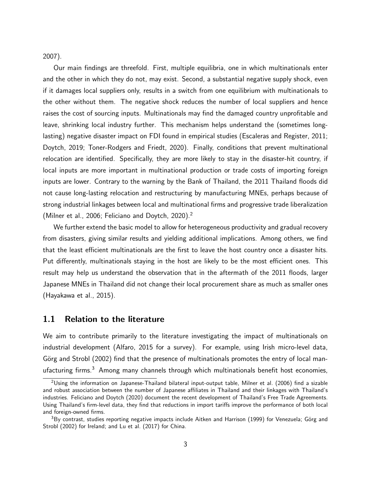2007).

Our main findings are threefold. First, multiple equilibria, one in which multinationals enter and the other in which they do not, may exist. Second, a substantial negative supply shock, even if it damages local suppliers only, results in a switch from one equilibrium with multinationals to the other without them. The negative shock reduces the number of local suppliers and hence raises the cost of sourcing inputs. Multinationals may find the damaged country unprofitable and leave, shrinking local industry further. This mechanism helps understand the (sometimes longlasting) negative disaster impact on FDI found in empirical studies (Escaleras and Register, 2011; Doytch, 2019; Toner-Rodgers and Friedt, 2020). Finally, conditions that prevent multinational relocation are identified. Specifically, they are more likely to stay in the disaster-hit country, if local inputs are more important in multinational production or trade costs of importing foreign inputs are lower. Contrary to the warning by the Bank of Thailand, the 2011 Thailand floods did not cause long-lasting relocation and restructuring by manufacturing MNEs, perhaps because of strong industrial linkages between local and multinational firms and progressive trade liberalization (Milner et al., 2006; Feliciano and Doytch, 2020).<sup>2</sup>

We further extend the basic model to allow for heterogeneous productivity and gradual recovery from disasters, giving similar results and yielding additional implications. Among others, we find that the least efficient multinationals are the first to leave the host country once a disaster hits. Put differently, multinationals staying in the host are likely to be the most efficient ones. This result may help us understand the observation that in the aftermath of the 2011 floods, larger Japanese MNEs in Thailand did not change their local procurement share as much as smaller ones (Hayakawa et al., 2015).

### 1.1 Relation to the literature

We aim to contribute primarily to the literature investigating the impact of multinationals on industrial development (Alfaro, 2015 for a survey). For example, using Irish micro-level data, Görg and Strobl (2002) find that the presence of multinationals promotes the entry of local manufacturing firms.<sup>3</sup> Among many channels through which multinationals benefit host economies,

<sup>&</sup>lt;sup>2</sup>Using the information on Japanese-Thailand bilateral input-output table, Milner et al. (2006) find a sizable and robust association between the number of Japanese affiliates in Thailand and their linkages with Thailand's industries. Feliciano and Doytch (2020) document the recent development of Thailand's Free Trade Agreements. Using Thailand's firm-level data, they find that reductions in import tariffs improve the performance of both local and foreign-owned firms.

 $3By$  contrast, studies reporting negative impacts include Aitken and Harrison (1999) for Venezuela; Görg and Strobl (2002) for Ireland; and Lu et al. (2017) for China.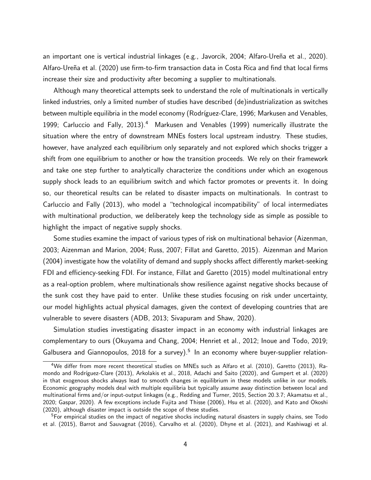an important one is vertical industrial linkages (e.g., Javorcik, 2004; Alfaro-Ureña et al., 2020). Alfaro-Ureña et al. (2020) use firm-to-firm transaction data in Costa Rica and find that local firms increase their size and productivity after becoming a supplier to multinationals.

Although many theoretical attempts seek to understand the role of multinationals in vertically linked industries, only a limited number of studies have described (de)industrialization as switches between multiple equilibria in the model economy (Rodríguez-Clare, 1996; Markusen and Venables, 1999; Carluccio and Fally, 2013).<sup>4</sup> Markusen and Venables (1999) numerically illustrate the situation where the entry of downstream MNEs fosters local upstream industry. These studies, however, have analyzed each equilibrium only separately and not explored which shocks trigger a shift from one equilibrium to another or how the transition proceeds. We rely on their framework and take one step further to analytically characterize the conditions under which an exogenous supply shock leads to an equilibrium switch and which factor promotes or prevents it. In doing so, our theoretical results can be related to disaster impacts on multinationals. In contrast to Carluccio and Fally (2013), who model a "technological incompatibility" of local intermediates with multinational production, we deliberately keep the technology side as simple as possible to highlight the impact of negative supply shocks.

Some studies examine the impact of various types of risk on multinational behavior (Aizenman, 2003; Aizenman and Marion, 2004; Russ, 2007; Fillat and Garetto, 2015). Aizenman and Marion (2004) investigate how the volatility of demand and supply shocks affect differently market-seeking FDI and efficiency-seeking FDI. For instance, Fillat and Garetto (2015) model multinational entry as a real-option problem, where multinationals show resilience against negative shocks because of the sunk cost they have paid to enter. Unlike these studies focusing on risk under uncertainty, our model highlights actual physical damages, given the context of developing countries that are vulnerable to severe disasters (ADB, 2013; Sivapuram and Shaw, 2020).

Simulation studies investigating disaster impact in an economy with industrial linkages are complementary to ours (Okuyama and Chang, 2004; Henriet et al., 2012; Inoue and Todo, 2019; Galbusera and Giannopoulos, 2018 for a survey).<sup>5</sup> In an economy where buyer-supplier relation-

<sup>4</sup>We differ from more recent theoretical studies on MNEs such as Alfaro et al. (2010), Garetto (2013), Ramondo and Rodríguez-Clare (2013), Arkolakis et al., 2018, Adachi and Saito (2020), and Gumpert et al. (2020) in that exogenous shocks always lead to smooth changes in equilibrium in these models unlike in our models. Economic geography models deal with multiple equilibria but typically assume away distinction between local and multinational firms and/or input-output linkages (e.g., Redding and Turner, 2015, Section 20.3.7; Akamatsu et al., 2020; Gaspar, 2020). A few exceptions include Fujita and Thisse (2006), Hsu et al. (2020), and Kato and Okoshi (2020), although disaster impact is outside the scope of these studies.

<sup>&</sup>lt;sup>5</sup>For empirical studies on the impact of negative shocks including natural disasters in supply chains, see Todo et al. (2015), Barrot and Sauvagnat (2016), Carvalho et al. (2020), Dhyne et al. (2021), and Kashiwagi et al.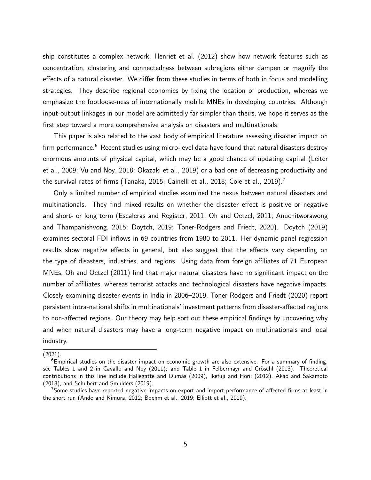ship constitutes a complex network, Henriet et al. (2012) show how network features such as concentration, clustering and connectedness between subregions either dampen or magnify the effects of a natural disaster. We differ from these studies in terms of both in focus and modelling strategies. They describe regional economies by fixing the location of production, whereas we emphasize the footloose-ness of internationally mobile MNEs in developing countries. Although input-output linkages in our model are admittedly far simpler than theirs, we hope it serves as the first step toward a more comprehensive analysis on disasters and multinationals.

This paper is also related to the vast body of empirical literature assessing disaster impact on firm performance.<sup>6</sup> Recent studies using micro-level data have found that natural disasters destroy enormous amounts of physical capital, which may be a good chance of updating capital (Leiter et al., 2009; Vu and Noy, 2018; Okazaki et al., 2019) or a bad one of decreasing productivity and the survival rates of firms (Tanaka, 2015; Cainelli et al., 2018; Cole et al., 2019).<sup>7</sup>

Only a limited number of empirical studies examined the nexus between natural disasters and multinationals. They find mixed results on whether the disaster effect is positive or negative and short- or long term (Escaleras and Register, 2011; Oh and Oetzel, 2011; Anuchitworawong and Thampanishvong, 2015; Doytch, 2019; Toner-Rodgers and Friedt, 2020). Doytch (2019) examines sectoral FDI inflows in 69 countries from 1980 to 2011. Her dynamic panel regression results show negative effects in general, but also suggest that the effects vary depending on the type of disasters, industries, and regions. Using data from foreign affiliates of 71 European MNEs, Oh and Oetzel (2011) find that major natural disasters have no significant impact on the number of affiliates, whereas terrorist attacks and technological disasters have negative impacts. Closely examining disaster events in India in 2006–2019, Toner-Rodgers and Friedt (2020) report persistent intra-national shifts in multinationals' investment patterns from disaster-affected regions to non-affected regions. Our theory may help sort out these empirical findings by uncovering why and when natural disasters may have a long-term negative impact on multinationals and local industry.

<sup>(2021).</sup>

 $6$ Empirical studies on the disaster impact on economic growth are also extensive. For a summary of finding, see Tables 1 and 2 in Cavallo and Noy (2011); and Table 1 in Felbermayr and Gröschl (2013). Theoretical contributions in this line include Hallegatte and Dumas (2009), Ikefuji and Horii (2012), Akao and Sakamoto (2018), and Schubert and Smulders (2019).

<sup>&</sup>lt;sup>7</sup>Some studies have reported negative impacts on export and import performance of affected firms at least in the short run (Ando and Kimura, 2012; Boehm et al., 2019; Elliott et al., 2019).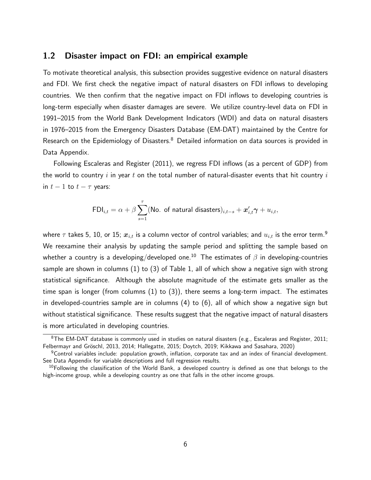### 1.2 Disaster impact on FDI: an empirical example

To motivate theoretical analysis, this subsection provides suggestive evidence on natural disasters and FDI. We first check the negative impact of natural disasters on FDI inflows to developing countries. We then confirm that the negative impact on FDI inflows to developing countries is long-term especially when disaster damages are severe. We utilize country-level data on FDI in 1991–2015 from the World Bank Development Indicators (WDI) and data on natural disasters in 1976–2015 from the Emergency Disasters Database (EM-DAT) maintained by the Centre for Research on the Epidemiology of Disasters.<sup>8</sup> Detailed information on data sources is provided in Data Appendix.

Following Escaleras and Register (2011), we regress FDI inflows (as a percent of GDP) from the world to country i in year t on the total number of natural-disaster events that hit country i in  $t-1$  to  $t-\tau$  years:

$$
\mathsf{FDI}_{i,t} = \alpha + \beta \sum_{s=1}^{\tau} (\mathsf{No. \text{ of natural disasters}})_{i,t-s} + \mathbf{x}'_{i,t} \gamma + u_{i,t},
$$

where  $\tau$  takes 5, 10, or 15;  $x_{i,t}$  is a column vector of control variables; and  $u_{i,t}$  is the error term.<sup>9</sup> We reexamine their analysis by updating the sample period and splitting the sample based on whether a country is a developing/developed one.<sup>10</sup> The estimates of  $\beta$  in developing-countries sample are shown in columns (1) to (3) of Table 1, all of which show a negative sign with strong statistical significance. Although the absolute magnitude of the estimate gets smaller as the time span is longer (from columns (1) to (3)), there seems a long-term impact. The estimates in developed-countries sample are in columns (4) to (6), all of which show a negative sign but without statistical significance. These results suggest that the negative impact of natural disasters is more articulated in developing countries.

 $8$ The EM-DAT database is commonly used in studies on natural disasters (e.g., Escaleras and Register, 2011; Felbermayr and Gröschl, 2013, 2014; Hallegatte, 2015; Doytch, 2019; Kikkawa and Sasahara, 2020)

 $9$ Control variables include: population growth, inflation, corporate tax and an index of financial development. See Data Appendix for variable descriptions and full regression results.

 $^{10}$ Following the classification of the World Bank, a developed country is defined as one that belongs to the high-income group, while a developing country as one that falls in the other income groups.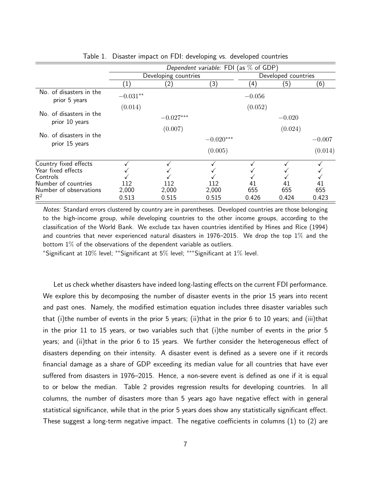|                                             | Dependent variable: FDI (as $\%$ of GDP) |                |                |                     |              |              |
|---------------------------------------------|------------------------------------------|----------------|----------------|---------------------|--------------|--------------|
|                                             | Developing countries                     |                |                | Developed countries |              |              |
|                                             | (1)                                      | $\overline{2}$ | (3)            | (4)                 | (5)          | (6)          |
| No. of disasters in the<br>prior 5 years    | $-0.031**$                               |                |                | $-0.056$            |              |              |
|                                             | (0.014)                                  |                |                | (0.052)             |              |              |
| No. of disasters in the<br>prior 10 years   |                                          | $-0.027***$    |                |                     | $-0.020$     |              |
|                                             |                                          | (0.007)        |                |                     | (0.024)      |              |
| No. of disasters in the<br>prior 15 years   |                                          |                | $-0.020***$    |                     |              | $-0.007$     |
|                                             |                                          |                | (0.005)        |                     |              | (0.014)      |
| Country fixed effects<br>Year fixed effects |                                          |                |                |                     |              |              |
| Controls                                    |                                          |                |                |                     |              |              |
| Number of countries                         | 112                                      | 112            | 112            | 41                  | 41           | 41           |
| Number of observations<br>$R^2$             | 2,000<br>0.513                           | 2,000<br>0.515 | 2,000<br>0.515 | 655<br>0.426        | 655<br>0.424 | 655<br>0.423 |

Table 1. Disaster impact on FDI: developing vs. developed countries

Notes: Standard errors clustered by country are in parentheses. Developed countries are those belonging to the high-income group, while developing countries to the other income groups, according to the classification of the World Bank. We exclude tax haven countries identified by Hines and Rice (1994) and countries that never experienced natural disasters in 1976–2015. We drop the top  $1\%$  and the bottom  $1\%$  of the observations of the dependent variable as outliers.

<sup>∗</sup>Significant at 10% level; ∗∗Significant at 5% level; ∗∗∗Significant at 1% level.

Let us check whether disasters have indeed long-lasting effects on the current FDI performance. We explore this by decomposing the number of disaster events in the prior 15 years into recent and past ones. Namely, the modified estimation equation includes three disaster variables such that (i)the number of events in the prior 5 years; (ii)that in the prior 6 to 10 years; and (iii)that in the prior 11 to 15 years, or two variables such that (i)the number of events in the prior 5 years; and (ii)that in the prior 6 to 15 years. We further consider the heterogeneous effect of disasters depending on their intensity. A disaster event is defined as a severe one if it records financial damage as a share of GDP exceeding its median value for all countries that have ever suffered from disasters in 1976–2015. Hence, a non-severe event is defined as one if it is equal to or below the median. Table 2 provides regression results for developing countries. In all columns, the number of disasters more than 5 years ago have negative effect with in general statistical significance, while that in the prior 5 years does show any statistically significant effect. These suggest a long-term negative impact. The negative coefficients in columns (1) to (2) are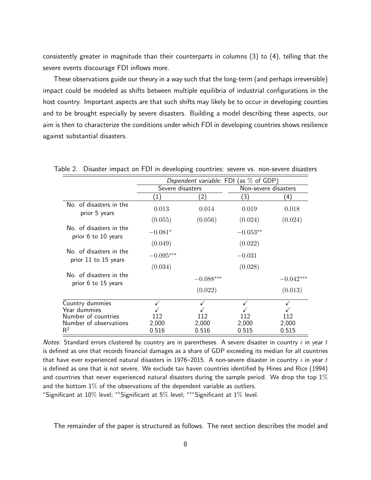consistently greater in magnitude than their counterparts in columns (3) to (4), telling that the severe events discourage FDI inflows more.

These observations guide our theory in a way such that the long-term (and perhaps irreversible) impact could be modeled as shifts between multiple equilibria of industrial configurations in the host country. Important aspects are that such shifts may likely be to occur in developing counties and to be brought especially by severe disasters. Building a model describing these aspects, our aim is then to characterize the conditions under which FDI in developing countries shows resilience against substantial disasters.

|                                                 | Dependent variable: FDI (as $\%$ of GDP) |               |                      |             |  |
|-------------------------------------------------|------------------------------------------|---------------|----------------------|-------------|--|
|                                                 | Severe disasters                         |               | Non-severe disasters |             |  |
|                                                 | (1)                                      | $^{\prime}2)$ | (3)                  | (4)         |  |
| No. of disasters in the<br>prior 5 years        | 0.013                                    | 0.014         | 0.019                | 0.018       |  |
|                                                 | (0.055)                                  | (0.056)       | (0.024)              | (0.024)     |  |
| No. of disasters in the<br>prior 6 to 10 years  | $-0.081*$                                |               | $-0.053**$           |             |  |
|                                                 | (0.049)                                  |               | (0.022)              |             |  |
| No. of disasters in the<br>prior 11 to 15 years | $-0.095***$                              |               | $-0.031$             |             |  |
|                                                 | (0.034)                                  |               | (0.028)              |             |  |
| No. of disasters in the<br>prior 6 to 15 years  |                                          | $-0.088***$   |                      | $-0.042***$ |  |
|                                                 |                                          | (0.022)       |                      | (0.013)     |  |
| Country dummies<br>Year dummies                 |                                          |               |                      |             |  |
| Number of countries                             | 112                                      | 112           | 112                  | 112         |  |
| Number of observations                          | 2,000                                    | 2,000         | 2,000                | 2,000       |  |
| $\mathsf{R}^2$                                  | 0.516                                    | 0.516         | 0.515                | 0.515       |  |

Table 2. Disaster impact on FDI in developing countries: severe vs. non-severe disasters

Notes: Standard errors clustered by country are in parentheses. A severe disaster in country  $i$  in year  $t$ is defined as one that records financial damages as a share of GDP exceeding its median for all countries that have ever experienced natural disasters in 1976–2015. A non-severe disaster in country  $i$  in year  $t$ is defined as one that is not severe. We exclude tax haven countries identified by Hines and Rice (1994) and countries that never experienced natural disasters during the sample period. We drop the top  $1\%$ and the bottom  $1\%$  of the observations of the dependent variable as outliers.

<sup>∗</sup>Significant at 10% level; ∗∗Significant at 5% level; ∗∗∗Significant at 1% level.

The remainder of the paper is structured as follows. The next section describes the model and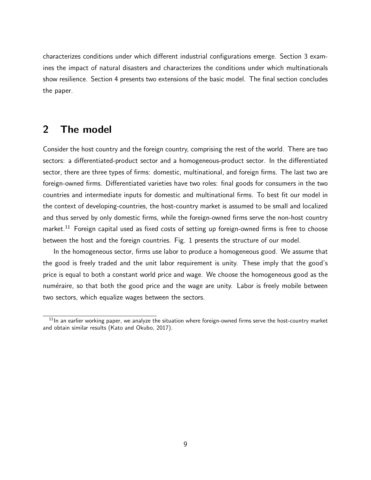characterizes conditions under which different industrial configurations emerge. Section 3 examines the impact of natural disasters and characterizes the conditions under which multinationals show resilience. Section 4 presents two extensions of the basic model. The final section concludes the paper.

# 2 The model

Consider the host country and the foreign country, comprising the rest of the world. There are two sectors: a differentiated-product sector and a homogeneous-product sector. In the differentiated sector, there are three types of firms: domestic, multinational, and foreign firms. The last two are foreign-owned firms. Differentiated varieties have two roles: final goods for consumers in the two countries and intermediate inputs for domestic and multinational firms. To best fit our model in the context of developing-countries, the host-country market is assumed to be small and localized and thus served by only domestic firms, while the foreign-owned firms serve the non-host country market.<sup>11</sup> Foreign capital used as fixed costs of setting up foreign-owned firms is free to choose between the host and the foreign countries. Fig. 1 presents the structure of our model.

In the homogeneous sector, firms use labor to produce a homogeneous good. We assume that the good is freely traded and the unit labor requirement is unity. These imply that the good's price is equal to both a constant world price and wage. We choose the homogeneous good as the numéraire, so that both the good price and the wage are unity. Labor is freely mobile between two sectors, which equalize wages between the sectors.

 $11$ In an earlier working paper, we analyze the situation where foreign-owned firms serve the host-country market and obtain similar results (Kato and Okubo, 2017).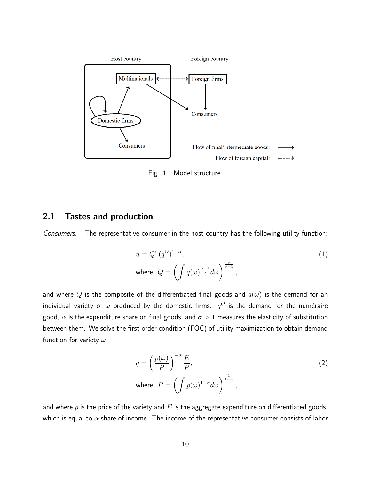

Fig. 1. Model structure.

### 2.1 Tastes and production

*Consumers.* The representative consumer in the host country has the following utility function:

$$
u = Q^{\alpha}(q^{O})^{1-\alpha},
$$
  
where  $Q = \left(\int q(\omega)^{\frac{\sigma-1}{\sigma}} d\omega\right)^{\frac{\sigma}{\sigma-1}},$  (1)

and where Q is the composite of the differentiated final goods and  $q(\omega)$  is the demand for an individual variety of  $\omega$  produced by the domestic firms.  $\ q^O$  is the demand for the numéraire good,  $\alpha$  is the expenditure share on final goods, and  $\sigma > 1$  measures the elasticity of substitution between them. We solve the first-order condition (FOC) of utility maximization to obtain demand function for variety  $\omega$ :

$$
q = \left(\frac{p(\omega)}{P}\right)^{-\sigma} \frac{E}{P},
$$
  
where  $P = \left(\int p(\omega)^{1-\sigma} d\omega\right)^{\frac{1}{1-\sigma}},$ 

and where  $p$  is the price of the variety and  $E$  is the aggregate expenditure on differentiated goods, which is equal to  $\alpha$  share of income. The income of the representative consumer consists of labor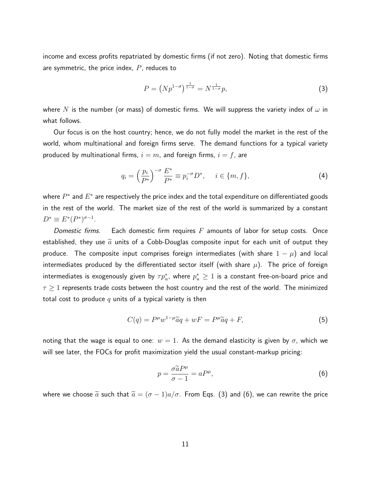income and excess profits repatriated by domestic firms (if not zero). Noting that domestic firms are symmetric, the price index,  $P$ , reduces to

$$
P = \left(Np^{1-\sigma}\right)^{\frac{1}{1-\sigma}} = N^{\frac{1}{1-\sigma}}p,\tag{3}
$$

where N is the number (or mass) of domestic firms. We will suppress the variety index of  $\omega$  in what follows.

Our focus is on the host country; hence, we do not fully model the market in the rest of the world, whom multinational and foreign firms serve. The demand functions for a typical variety produced by multinational firms,  $i = m$ , and foreign firms,  $i = f$ , are

$$
q_i = \left(\frac{p_i}{P^*}\right)^{-\sigma} \frac{E^*}{P^*} \equiv p_i^{-\sigma} D^*, \quad i \in \{m, f\},\tag{4}
$$

where  $P^*$  and  $E^*$  are respectively the price index and the total expenditure on differentiated goods in the rest of the world. The market size of the rest of the world is summarized by a constant  $D^* \equiv E^*(P^*)^{\sigma-1}.$ 

*Domestic firms.* Each domestic firm requires F amounts of labor for setup costs. Once established, they use  $\widetilde{a}$  units of a Cobb-Douglas composite input for each unit of output they produce. The composite input comprises foreign intermediates (with share  $1 - \mu$ ) and local intermediates produced by the differentiated sector itself (with share  $\mu$ ). The price of foreign intermediates is exogenously given by  $\tau p_u^*$ , where  $p_u^* \geq 1$  is a constant free-on-board price and  $\tau \geq 1$  represents trade costs between the host country and the rest of the world. The minimized total cost to produce  $q$  units of a typical variety is then

$$
C(q) = P^{\mu} w^{1-\mu} \widetilde{a}q + wF = P^{\mu} \widetilde{a}q + F,
$$
\n<sup>(5)</sup>

noting that the wage is equal to one:  $w = 1$ . As the demand elasticity is given by  $\sigma$ , which we will see later, the FOCs for profit maximization yield the usual constant-markup pricing:

$$
p = \frac{\sigma \tilde{a} P^{\mu}}{\sigma - 1} = a P^{\mu},\tag{6}
$$

where we choose  $\tilde{a}$  such that  $\tilde{a} = (\sigma - 1)a/\sigma$ . From Eqs. (3) and (6), we can rewrite the price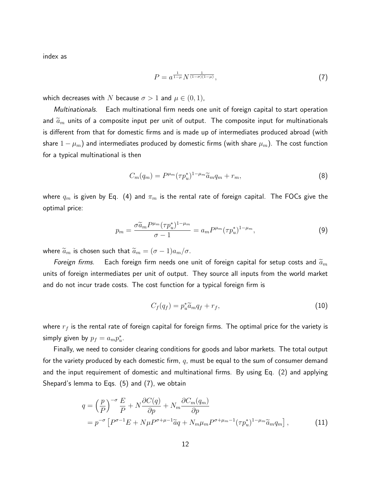index as

$$
P = a^{\frac{1}{1-\mu}} N^{\frac{1}{(1-\sigma)(1-\mu)}},\tag{7}
$$

which decreases with N because  $\sigma > 1$  and  $\mu \in (0,1)$ ,

*Multinationals.* Each multinational firm needs one unit of foreign capital to start operation and  $\widetilde{a}_m$  units of a composite input per unit of output. The composite input for multinationals is different from that for domestic firms and is made up of intermediates produced abroad (with share  $1-\mu_m)$  and intermediates produced by domestic firms (with share  $\mu_m$ ). The cost function for a typical multinational is then

$$
C_m(q_m) = P^{\mu_m} (\tau p_u^*)^{1-\mu_m} \widetilde{a}_m q_m + r_m, \tag{8}
$$

where  $q_m$  is given by Eq. (4) and  $\pi_m$  is the rental rate of foreign capital. The FOCs give the optimal price:

$$
p_m = \frac{\sigma \tilde{a}_m P^{\mu_m} (\tau p_u^*)^{1-\mu_m}}{\sigma - 1} = a_m P^{\mu_m} (\tau p_u^*)^{1-\mu_m},\tag{9}
$$

where  $\widetilde{a}_m$  is chosen such that  $\widetilde{a}_m = (\sigma - 1)a_m/\sigma$ .

*Foreign firms.* Each foreign firm needs one unit of foreign capital for setup costs and  $\widetilde{a}_m$ units of foreign intermediates per unit of output. They source all inputs from the world market and do not incur trade costs. The cost function for a typical foreign firm is

$$
C_f(q_f) = p_u^* \widetilde{a}_m q_f + r_f, \qquad (10)
$$

where  $r_f$  is the rental rate of foreign capital for foreign firms. The optimal price for the variety is simply given by  $p_f = a_m p_u^*$ .

Finally, we need to consider clearing conditions for goods and labor markets. The total output for the variety produced by each domestic firm,  $q$ , must be equal to the sum of consumer demand and the input requirement of domestic and multinational firms. By using Eq. (2) and applying Shepard's lemma to Eqs. (5) and (7), we obtain

$$
q = \left(\frac{p}{P}\right)^{-\sigma} \frac{E}{P} + N \frac{\partial C(q)}{\partial p} + N_m \frac{\partial C_m(q_m)}{\partial p}
$$
  
=  $p^{-\sigma} \left[ P^{\sigma-1} E + N \mu P^{\sigma+\mu-1} \tilde{a}q + N_m \mu_m P^{\sigma+\mu-1} (\tau p_u^*)^{1-\mu_m} \tilde{a}_m q_m \right],$  (11)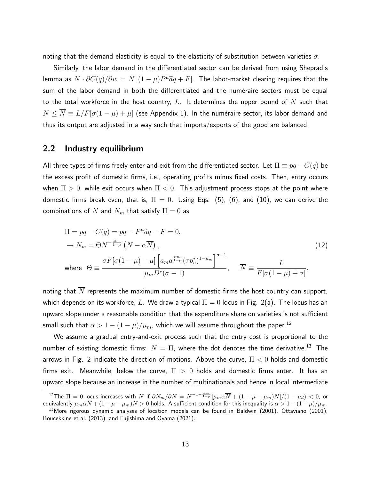noting that the demand elasticity is equal to the elasticity of substitution between varieties  $\sigma$ .

Similarly, the labor demand in the differentiated sector can be derived from using Sheprad's lemma as  $N \cdot \partial C(q)/\partial w = N \left[ (1-\mu) P^{\mu} \widetilde{a} q + F \right]$ . The labor-market clearing requires that the sum of the labor demand in both the differentiated and the numéraire sectors must be equal to the total workforce in the host country, L. It determines the upper bound of N such that  $N \leq \overline{N} \equiv L/F[\sigma(1-\mu)+\mu]$  (see Appendix 1). In the numéraire sector, its labor demand and thus its output are adjusted in a way such that imports/exports of the good are balanced.

### 2.2 Industry equilibrium

All three types of firms freely enter and exit from the differentiated sector. Let  $\Pi \equiv pq - C(q)$  be the excess profit of domestic firms, i.e., operating profits minus fixed costs. Then, entry occurs when  $\Pi > 0$ , while exit occurs when  $\Pi < 0$ . This adjustment process stops at the point where domestic firms break even, that is,  $\Pi = 0$ . Using Eqs. (5), (6), and (10), we can derive the combinations of N and  $N_m$  that satisfy  $\Pi = 0$  as

$$
\Pi = pq - C(q) = pq - P^{\mu}\tilde{a}q - F = 0,
$$
  
\n
$$
\rightarrow N_m = \Theta N^{-\frac{\mu_m}{1-\mu}} \left( N - \alpha \overline{N} \right),
$$
  
\nwhere 
$$
\Theta \equiv \frac{\sigma F[\sigma(1-\mu) + \mu] \left[ a_m a^{\frac{\mu_m}{1-\mu}} (\tau p_u^*)^{1-\mu_m} \right]^{\sigma-1}}{\mu_m D^*(\sigma - 1)}, \quad \overline{N} \equiv \frac{L}{F[\sigma(1-\mu) + \sigma]},
$$
\n(12)

noting that  $\overline{N}$  represents the maximum number of domestic firms the host country can support, which depends on its workforce,  $L.$  We draw a typical  $\Pi=0$  locus in Fig. 2(a). The locus has an upward slope under a reasonable condition that the expenditure share on varieties is not sufficient small such that  $\alpha > 1 - (1 - \mu)/\mu_m$ , which we will assume throughout the paper.<sup>12</sup>

We assume a gradual entry-and-exit process such that the entry cost is proportional to the number of existing domestic firms:  $\dot{N} = \Pi$ , where the dot denotes the time derivative.<sup>13</sup> The arrows in Fig. 2 indicate the direction of motions. Above the curve,  $\Pi < 0$  holds and domestic firms exit. Meanwhile, below the curve,  $\Pi > 0$  holds and domestic firms enter. It has an upward slope because an increase in the number of multinationals and hence in local intermediate

 $^{12}$ The  $\Pi=0$  locus increases with  $N$  if  $\partial N_m/\partial N=N^{-1-\frac{\mu_m}{1-\mu}}[\mu_m\alpha\overline{N}+(1-\mu-\mu_m)N]/(1-\mu_d)< 0$ , or equivalently  $\mu_m \alpha \overline{N} + (1 - \mu - \mu_m)N > 0$  holds. A sufficient condition for this inequality is  $\alpha > 1 - (1 - \mu)/\mu_m$ .

 $13$ More rigorous dynamic analyses of location models can be found in Baldwin (2001), Ottaviano (2001), Boucekkine et al. (2013), and Fujishima and Oyama (2021).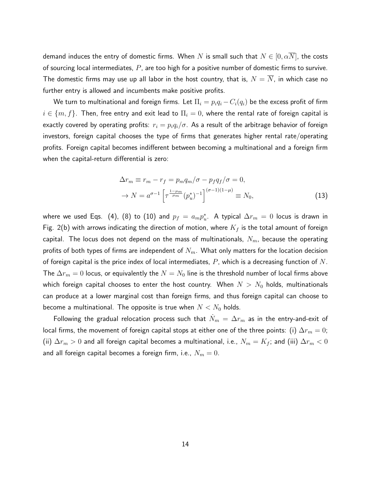demand induces the entry of domestic firms. When  $N$  is small such that  $N \in [0, \alpha \overline{N}]$ , the costs of sourcing local intermediates,  $P$ , are too high for a positive number of domestic firms to survive. The domestic firms may use up all labor in the host country, that is,  $N = \overline{N}$ , in which case no further entry is allowed and incumbents make positive profits.

We turn to multinational and foreign firms. Let  $\Pi_i = p_iq_i - C_i(q_i)$  be the excess profit of firm  $i \in \{m, f\}$ . Then, free entry and exit lead to  $\Pi_i = 0$ , where the rental rate of foreign capital is exactly covered by operating profits:  $r_i = p_i q_i / \sigma$ . As a result of the arbitrage behavior of foreign investors, foreign capital chooses the type of firms that generates higher rental rate/operating profits. Foreign capital becomes indifferent between becoming a multinational and a foreign firm when the capital-return differential is zero:

$$
\Delta r_m \equiv r_m - r_f = p_m q_m / \sigma - p_f q_f / \sigma = 0,
$$
  
\n
$$
\rightarrow N = a^{\sigma - 1} \left[ \tau^{\frac{1 - \mu_m}{\mu_m}} (p_u^*)^{-1} \right]^{(\sigma - 1)(1 - \mu)} \equiv N_0,
$$
\n(13)

where we used Eqs. (4), (8) to (10) and  $p_f\,=\,a_m p_u^*$ . A typical  $\Delta r_m\,=\,0$  locus is drawn in Fig. 2(b) with arrows indicating the direction of motion, where  $K_f$  is the total amount of foreign capital. The locus does not depend on the mass of multinationals,  $N_m$ , because the operating profits of both types of firms are independent of  $N_m$ . What only matters for the location decision of foreign capital is the price index of local intermediates,  $P$ , which is a decreasing function of  $N$ . The  $\Delta r_m = 0$  locus, or equivalently the  $N = N_0$  line is the threshold number of local firms above which foreign capital chooses to enter the host country. When  $N > N_0$  holds, multinationals can produce at a lower marginal cost than foreign firms, and thus foreign capital can choose to become a multinational. The opposite is true when  $N < N_0$  holds.

Following the gradual relocation process such that  $\dot{N}_m$  =  $\Delta r_m$  as in the entry-and-exit of local firms, the movement of foreign capital stops at either one of the three points: (i)  $\Delta r_m = 0$ ; (ii)  $\Delta r_m > 0$  and all foreign capital becomes a multinational, i.e.,  $N_m = K_f$ ; and (iii)  $\Delta r_m < 0$ and all foreign capital becomes a foreign firm, i.e.,  $N_m = 0$ .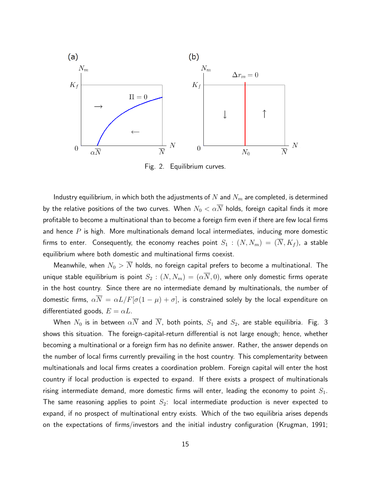

Fig. 2. Equilibrium curves.

Industry equilibrium, in which both the adjustments of  $N$  and  $N_m$  are completed, is determined by the relative positions of the two curves. When  $N_0 < \alpha \overline{N}$  holds, foreign capital finds it more profitable to become a multinational than to become a foreign firm even if there are few local firms and hence  $P$  is high. More multinationals demand local intermediates, inducing more domestic firms to enter. Consequently, the economy reaches point  $S_1$  :  $(N, N_m) = (\overline{N}, K_f)$ , a stable equilibrium where both domestic and multinational firms coexist.

Meanwhile, when  $N_0 > \overline{N}$  holds, no foreign capital prefers to become a multinational. The unique stable equilibrium is point  $S_2 : (N, N_m) = (\alpha \overline{N}, 0)$ , where only domestic firms operate in the host country. Since there are no intermediate demand by multinationals, the number of domestic firms,  $\alpha \overline{N} = \alpha L/F[\sigma(1-\mu)+\sigma]$ , is constrained solely by the local expenditure on differentiated goods,  $E = \alpha L$ .

When  $N_0$  is in between  $\alpha \overline{N}$  and  $\overline{N}$ , both points,  $S_1$  and  $S_2$ , are stable equilibria. Fig. 3 shows this situation. The foreign-capital-return differential is not large enough; hence, whether becoming a multinational or a foreign firm has no definite answer. Rather, the answer depends on the number of local firms currently prevailing in the host country. This complementarity between multinationals and local firms creates a coordination problem. Foreign capital will enter the host country if local production is expected to expand. If there exists a prospect of multinationals rising intermediate demand, more domestic firms will enter, leading the economy to point  $S_1$ . The same reasoning applies to point  $S_2$ : local intermediate production is never expected to expand, if no prospect of multinational entry exists. Which of the two equilibria arises depends on the expectations of firms/investors and the initial industry configuration (Krugman, 1991;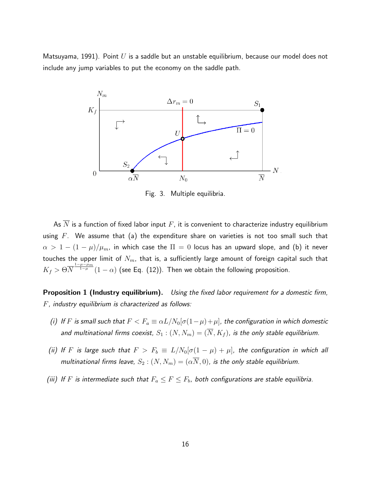Matsuyama, 1991). Point  $U$  is a saddle but an unstable equilibrium, because our model does not include any jump variables to put the economy on the saddle path.



Fig. 3. Multiple equilibria.

As  $\overline{N}$  is a function of fixed labor input  $F$ , it is convenient to characterize industry equilibrium using  $F$ . We assume that (a) the expenditure share on varieties is not too small such that  $\alpha > 1 - (1 - \mu)/\mu_m$ , in which case the  $\Pi = 0$  locus has an upward slope, and (b) it never touches the upper limit of  $N_m$ , that is, a sufficiently large amount of foreign capital such that  $K_f > \Theta N$  $\frac{1-\mu-\mu_m}{1-\mu}(1-\alpha)$  (see Eq. (12)). Then we obtain the following proposition.

Proposition 1 (Industry equilibrium). *Using the fixed labor requirement for a domestic firm,* F*, industry equilibrium is characterized as follows:*

- *(i)* If F is small such that  $F < F_a \equiv \alpha L/N_0[\sigma(1-\mu)+\mu]$ , the configuration in which domestic and multinational firms coexist,  $S_1 : (N, N_m) = (\overline{N}, K_f)$ , is the only stable equilibrium.
- *(ii)* If F is large such that  $F > F_b \equiv L/N_0[\sigma(1-\mu) + \mu]$ , the configuration in which all *multinational firms leave,*  $S_2$  :  $(N, N_m) = (\alpha \overline{N}, 0)$ *, is the only stable equilibrium.*
- *(iii)* If F is intermediate such that  $F_a \leq F \leq F_b$ , both configurations are stable equilibria.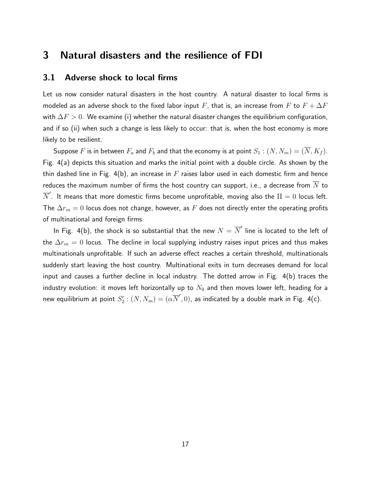# 3 Natural disasters and the resilience of FDI

### 3.1 Adverse shock to local firms

Let us now consider natural disasters in the host country. A natural disaster to local firms is modeled as an adverse shock to the fixed labor input F, that is, an increase from F to  $F + \Delta F$ with  $\Delta F > 0$ . We examine (i) whether the natural disaster changes the equilibrium configuration, and if so (ii) when such a change is less likely to occur: that is, when the host economy is more likely to be resilient.

Suppose F is in between  $F_a$  and  $F_b$  and that the economy is at point  $S_1 : (N, N_m) = (\overline{N}, K_f)$ . Fig. 4(a) depicts this situation and marks the initial point with a double circle. As shown by the thin dashed line in Fig. 4(b), an increase in  $F$  raises labor used in each domestic firm and hence reduces the maximum number of firms the host country can support, i.e., a decrease from  $\overline{N}$  to  $\overline{N}^\prime.$  It means that more domestic firms become unprofitable, moving also the  $\Pi=0$  locus left. The  $\Delta r_m = 0$  locus does not change, however, as F does not directly enter the operating profits of multinational and foreign firms.

In Fig. 4(b), the shock is so substantial that the new  $N=\overline{N}'$  line is located to the left of the  $\Delta r_m = 0$  locus. The decline in local supplying industry raises input prices and thus makes multinationals unprofitable. If such an adverse effect reaches a certain threshold, multinationals suddenly start leaving the host country. Multinational exits in turn decreases demand for local input and causes a further decline in local industry. The dotted arrow in Fig. 4(b) traces the industry evolution: it moves left horizontally up to  $N_0$  and then moves lower left, heading for a new equilibrium at point  $S_2':(N,N_m)=(\alpha\overline{N}',0)$ , as indicated by a double mark in Fig. 4(c).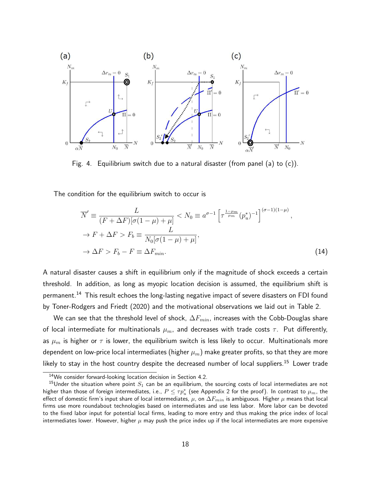

Fig. 4. Equilibrium switch due to a natural disaster (from panel (a) to (c)).

The condition for the equilibrium switch to occur is

$$
\overline{N}' \equiv \frac{L}{(F + \Delta F)[\sigma(1 - \mu) + \mu]} < N_0 \equiv a^{\sigma - 1} \left[ \tau^{\frac{1 - \mu_m}{\mu_m}} (p_u^*)^{-1} \right]^{(\sigma - 1)(1 - \mu)},
$$
\n
$$
\rightarrow F + \Delta F > F_b \equiv \frac{L}{N_0 [\sigma(1 - \mu) + \mu]},
$$
\n
$$
\rightarrow \Delta F > F_b - F \equiv \Delta F_{min}.
$$
\n(14)

A natural disaster causes a shift in equilibrium only if the magnitude of shock exceeds a certain threshold. In addition, as long as myopic location decision is assumed, the equilibrium shift is permanent.<sup>14</sup> This result echoes the long-lasting negative impact of severe disasters on FDI found by Toner-Rodgers and Friedt (2020) and the motivational observations we laid out in Table 2.

We can see that the threshold level of shock,  $\Delta F_{min}$ , increases with the Cobb-Douglas share of local intermediate for multinationals  $\mu_m$ , and decreases with trade costs  $\tau$ . Put differently, as  $\mu_m$  is higher or  $\tau$  is lower, the equilibrium switch is less likely to occur. Multinationals more dependent on low-price local intermediates (higher  $\mu_m$ ) make greater profits, so that they are more likely to stay in the host country despite the decreased number of local suppliers.<sup>15</sup> Lower trade

<sup>14</sup>We consider forward-looking location decision in Section 4.2.

<sup>&</sup>lt;sup>15</sup>Under the situation where point  $S_1$  can be an equilibrium, the sourcing costs of local intermediates are not higher than those of foreign intermediates, i.e.,  $P\leq\tau p_u^*$  (see Appendix 2 for the proof). In contrast to  $\mu_m$ , the effect of domestic firm's input share of local intermediates,  $\mu$ , on  $\Delta F_{min}$  is ambiguous. Higher  $\mu$  means that local firms use more roundabout technologies based on intermediates and use less labor. More labor can be devoted to the fixed labor input for potential local firms, leading to more entry and thus making the price index of local intermediates lower. However, higher  $\mu$  may push the price index up if the local intermediates are more expensive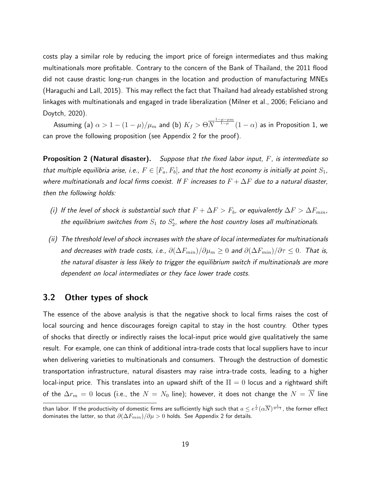costs play a similar role by reducing the import price of foreign intermediates and thus making multinationals more profitable. Contrary to the concern of the Bank of Thailand, the 2011 flood did not cause drastic long-run changes in the location and production of manufacturing MNEs (Haraguchi and Lall, 2015). This may reflect the fact that Thailand had already established strong linkages with multinationals and engaged in trade liberalization (Milner et al., 2006; Feliciano and Doytch, 2020).

Assuming (a)  $\alpha > 1 - (1-\mu)/\mu_m$  and (b)  $K_f > \Theta N$  $\frac{1-\mu-\mu_{m}}{1-\mu}(1-\alpha)$  as in Proposition 1, we can prove the following proposition (see Appendix 2 for the proof).

Proposition 2 (Natural disaster). *Suppose that the fixed labor input,* F*, is intermediate so that multiple equilibria arise, i.e.,*  $F \in [F_a, F_b]$ , and that the host economy is initially at point  $S_1$ , *where multinationals and local firms coexist. If* F *increases to* F + ∆F *due to a natural disaster, then the following holds:*

- *(i)* If the level of shock is substantial such that  $F + \Delta F > F_b$ , or equivalently  $\Delta F > \Delta F_{min}$ , the equilibrium switches from  $S_1$  to  $S_2'$ , where the host country loses all multinationals.
- *(ii) The threshold level of shock increases with the share of local intermediates for multinationals and decreases with trade costs, i.e.,*  $\partial(\Delta F_{min})/\partial \mu_m \geq 0$  *and*  $\partial(\Delta F_{min})/\partial \tau \leq 0$ . That is, *the natural disaster is less likely to trigger the equilibrium switch if multinationals are more dependent on local intermediates or they face lower trade costs.*

### 3.2 Other types of shock

The essence of the above analysis is that the negative shock to local firms raises the cost of local sourcing and hence discourages foreign capital to stay in the host country. Other types of shocks that directly or indirectly raises the local-input price would give qualitatively the same result. For example, one can think of additional intra-trade costs that local suppliers have to incur when delivering varieties to multinationals and consumers. Through the destruction of domestic transportation infrastructure, natural disasters may raise intra-trade costs, leading to a higher local-input price. This translates into an upward shift of the  $\Pi = 0$  locus and a rightward shift of the  $\Delta r_m = 0$  locus (i.e., the  $N = N_0$  line); however, it does not change the  $N = \overline{N}$  line

than labor. If the productivity of domestic firms are sufficiently high such that  $a\leq e^{\frac{1}{\sigma}}(\alpha\overline{N})^{\frac{1}{\sigma-1}}$ , the former effect dominates the latter, so that  $\partial (\Delta F_{min})/\partial \mu > 0$  holds. See Appendix 2 for details.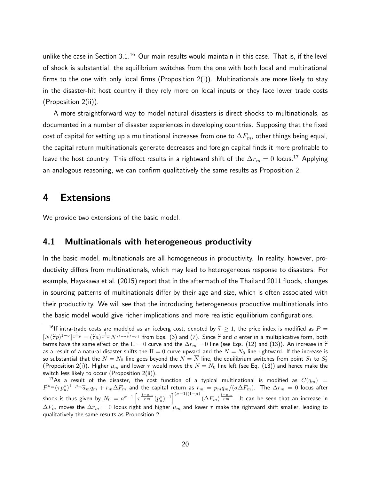unlike the case in Section  $3.1<sup>16</sup>$  Our main results would maintain in this case. That is, if the level of shock is substantial, the equilibrium switches from the one with both local and multinational firms to the one with only local firms (Proposition  $2(i)$ ). Multinationals are more likely to stay in the disaster-hit host country if they rely more on local inputs or they face lower trade costs (Proposition 2(ii)).

A more straightforward way to model natural disasters is direct shocks to multinationals, as documented in a number of disaster experiences in developing countries. Supposing that the fixed cost of capital for setting up a multinational increases from one to  $\Delta F_m$ , other things being equal, the capital return multinationals generate decreases and foreign capital finds it more profitable to leave the host country. This effect results in a rightward shift of the  $\Delta r_m = 0$  locus.<sup>17</sup> Applying an analogous reasoning, we can confirm qualitatively the same results as Proposition 2.

# 4 Extensions

We provide two extensions of the basic model.

### 4.1 Multinationals with heterogeneous productivity

In the basic model, multinationals are all homogeneous in productivity. In reality, however, productivity differs from multinationals, which may lead to heterogeneous response to disasters. For example, Hayakawa et al. (2015) report that in the aftermath of the Thailand 2011 floods, changes in sourcing patterns of multinationals differ by their age and size, which is often associated with their productivity. We will see that the introducing heterogeneous productive multinationals into the basic model would give richer implications and more realistic equilibrium configurations.

<sup>&</sup>lt;sup>16</sup>If intra-trade costs are modeled as an iceberg cost, denoted by  $\tilde{\tau} \ge 1$ , the price index is modified as  $P =$  $[N(\tilde{\tau}p)^{1-\sigma}]^{\frac{1}{1-\sigma}} = (\tilde{\tau}a)^{\frac{1}{1-\mu}} N^{\frac{1}{(1-\sigma)(1-\mu)}}$  from Eqs. (3) and (7). Since  $\tilde{\tau}$  and a enter in a multiplicative form, both terms have the same effect on the  $\Pi = 0$  curve and the  $\Delta r_m = 0$  line (see Eqs. (12) and (13)). An increase in  $\tilde{\tau}$ as a result of a natural disaster shifts the  $\Pi = 0$  curve upward and the  $N = N_0$  line rightward. If the increase is so substantial that the  $N=N_0$  line goes beyond the  $N=\overline{N}$  line, the equilibrium switches from point  $S_1$  to  $S_2'$ (Proposition 2(i)). Higher  $\mu_m$  and lower  $\tau$  would move the  $N = N_0$  line left (see Eq. (13)) and hence make the switch less likely to occur (Proposition 2(ii)).

<sup>&</sup>lt;sup>17</sup>As a result of the disaster, the cost function of a typical multinational is modified as  $C(q_m)$  =  $P^{\mu_m}(\tau p_u^*)^{1-\mu_m}\widetilde{a}_m q_m+r_m\Delta F_m$  and the capital return as  $r_m=p_mq_m/(\sigma\Delta F_m)$ . The  $\Delta r_m=0$  locus after shock is thus given by  $N_0=a^{\sigma-1}\left[\tau^{\frac{1-\mu_m}{\mu_m}}(p_u^*)^{-1}\right]^{(\sigma-1)(1-\mu)}(\Delta F_m)^{\frac{1-\mu_m}{\mu_m}}.$  It can be seen that an increase in  $\Delta F_m$  moves the  $\Delta r_m=0$  locus right and higher  $\mu_m$  and lower  $\tau$  make the rightward shift smaller, leading to qualitatively the same results as Proposition 2.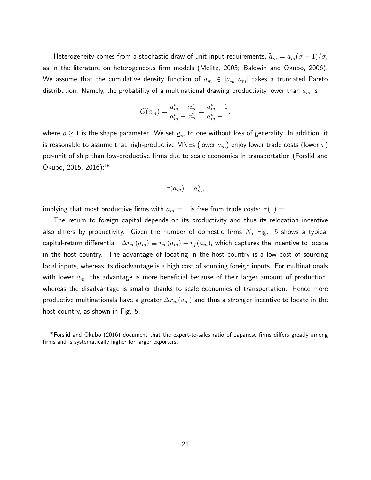Heterogeneity comes from a stochastic draw of unit input requirements,  $\widetilde{a}_m = a_m (\sigma - 1)/\sigma$ , as in the literature on heterogeneous firm models (Melitz, 2003; Baldwin and Okubo, 2006). We assume that the cumulative density function of  $a_m \in [a_m, \overline{a}_m]$  takes a truncated Pareto distribution. Namely, the probability of a multinational drawing productivity lower than  $a_m$  is

$$
G(a_m) = \frac{a_m^{\rho} - \underline{a}_m^{\rho}}{\overline{a}_m^{\rho} - \underline{a}_m^{\rho}} = \frac{a_m^{\rho} - 1}{\overline{a}_m^{\rho} - 1},
$$

where  $\rho \geq 1$  is the shape parameter. We set  $\underline{a}_m$  to one without loss of generality. In addition, it is reasonable to assume that high-productive MNEs (lower  $a_m$ ) enjoy lower trade costs (lower  $\tau$ ) per-unit of ship than low-productive firms due to scale economies in transportation (Forslid and Okubo, 2015, 2016):<sup>18</sup>

$$
\tau(a_m) = a_m^{\gamma},
$$

implying that most productive firms with  $a_m = 1$  is free from trade costs:  $\tau(1) = 1$ .

The return to foreign capital depends on its productivity and thus its relocation incentive also differs by productivity. Given the number of domestic firms  $N$ , Fig. 5 shows a typical capital-return differential:  $\Delta r_m(a_m) \equiv r_m(a_m) - r_f(a_m)$ , which captures the incentive to locate in the host country. The advantage of locating in the host country is a low cost of sourcing local inputs, whereas its disadvantage is a high cost of sourcing foreign inputs. For multinationals with lower  $a_m$ , the advantage is more beneficial because of their larger amount of production, whereas the disadvantage is smaller thanks to scale economies of transportation. Hence more productive multinationals have a greater  $\Delta r_m(a_m)$  and thus a stronger incentive to locate in the host country, as shown in Fig. 5.

<sup>&</sup>lt;sup>18</sup>Forslid and Okubo (2016) document that the export-to-sales ratio of Japanese firms differs greatly among firms and is systematically higher for larger exporters.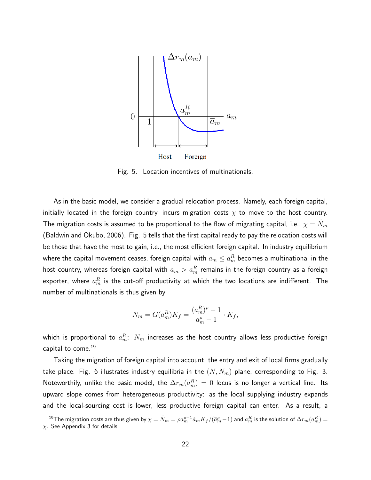

Fig. 5. Location incentives of multinationals.

As in the basic model, we consider a gradual relocation process. Namely, each foreign capital, initially located in the foreign country, incurs migration costs  $\chi$  to move to the host country. The migration costs is assumed to be proportional to the flow of migrating capital, i.e.,  $\chi=\dot{N}_m$ (Baldwin and Okubo, 2006). Fig. 5 tells that the first capital ready to pay the relocation costs will be those that have the most to gain, i.e., the most efficient foreign capital. In industry equilibrium where the capital movement ceases, foreign capital with  $a_m\leq a_m^R$  becomes a multinational in the host country, whereas foreign capital with  $a_m > a_m^R$  remains in the foreign country as a foreign exporter, where  $a_m^R$  is the cut-off productivity at which the two locations are indifferent. The number of multinationals is thus given by

$$
N_m = G(a_m^R)K_f = \frac{(a_m^R)^{\rho} - 1}{\overline{a}_m^{\rho} - 1} \cdot K_f,
$$

which is proportional to  $a^R_m\!\!:\ N_m$  increases as the host country allows less productive foreign capital to come.<sup>19</sup>

Taking the migration of foreign capital into account, the entry and exit of local firms gradually take place. Fig. 6 illustrates industry equilibria in the  $(N, N_m)$  plane, corresponding to Fig. 3. Noteworthily, unlike the basic model, the  $\Delta r_m(a_m^R) \, = \, 0$  locus is no longer a vertical line. Its upward slope comes from heterogeneous productivity: as the local supplying industry expands and the local-sourcing cost is lower, less productive foreign capital can enter. As a result, a

 $^{19}$ The migration costs are thus given by  $\chi=\dot N_m=\rho a_m^{\rho-1}\dot a_mK_f/(\overline a_m^\rho-1)$  and  $a_m^R$  is the solution of  $\Delta r_m(a_m^R)=0$  $\chi$ . See Appendix 3 for details.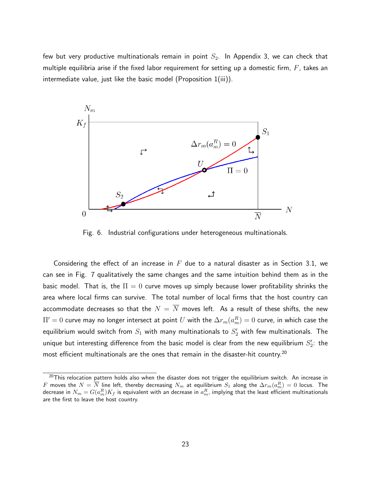few but very productive multinationals remain in point  $S_2$ . In Appendix 3, we can check that multiple equilibria arise if the fixed labor requirement for setting up a domestic firm,  $F$ , takes an intermediate value, just like the basic model (Proposition 1(iii)).



Fig. 6. Industrial configurations under heterogeneous multinationals.

Considering the effect of an increase in  $F$  due to a natural disaster as in Section 3.1, we can see in Fig. 7 qualitatively the same changes and the same intuition behind them as in the basic model. That is, the  $\Pi = 0$  curve moves up simply because lower profitability shrinks the area where local firms can survive. The total number of local firms that the host country can accommodate decreases so that the  $N = \overline{N}$  moves left. As a result of these shifts, the new  $\Pi'=0$  curve may no longer intersect at point  $U$  with the  $\Delta r_m(a_m^R)=0$  curve, in which case the equilibrium would switch from  $S_1$  with many multinationals to  $S_2^{\prime}$  with few multinationals. The unique but interesting difference from the basic model is clear from the new equilibrium  $S_2^\prime$ : the most efficient multinationals are the ones that remain in the disaster-hit country.<sup>20</sup>

 $20$ This relocation pattern holds also when the disaster does not trigger the equilibrium switch. An increase in  $F$  moves the  $N=\overline{N}$  line left, thereby decreasing  $N_m$  at equilibrium  $S_1$  along the  $\Delta r_m(a_m^R)=0$  locus. The decrease in  $N_m=G(a_m^R)K_f$  is equivalent with an decrease in  $a_m^R$ , implying that the least efficient multinationals are the first to leave the host country.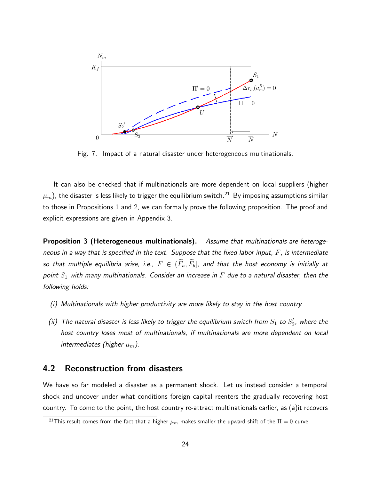

Fig. 7. Impact of a natural disaster under heterogeneous multinationals.

It can also be checked that if multinationals are more dependent on local suppliers (higher  $\mu_m$ ), the disaster is less likely to trigger the equilibrium switch.<sup>21</sup> By imposing assumptions similar to those in Propositions 1 and 2, we can formally prove the following proposition. The proof and explicit expressions are given in Appendix 3.

Proposition 3 (Heterogeneous multinationals). *Assume that multinationals are heterogeneous in a way that is specified in the text. Suppose that the fixed labor input,* F*, is intermediate so that multiple equilibria arise, i.e.,*  $F \in (\widetilde{F}_a, \widetilde{F}_b]$ , and that the host economy is initially at *point* S<sup>1</sup> *with many multinationals. Consider an increase in* F *due to a natural disaster, then the following holds:*

- *(i) Multinationals with higher productivity are more likely to stay in the host country.*
- *(ii)* The natural disaster is less likely to trigger the equilibrium switch from  $S_1$  to  $S_2'$ , where the *host country loses most of multinationals, if multinationals are more dependent on local intermediates (higher*  $\mu_m$ ).

### 4.2 Reconstruction from disasters

We have so far modeled a disaster as a permanent shock. Let us instead consider a temporal shock and uncover under what conditions foreign capital reenters the gradually recovering host country. To come to the point, the host country re-attract multinationals earlier, as (a)it recovers

<sup>&</sup>lt;sup>21</sup>This result comes from the fact that a higher  $\mu_m$  makes smaller the upward shift of the  $\Pi = 0$  curve.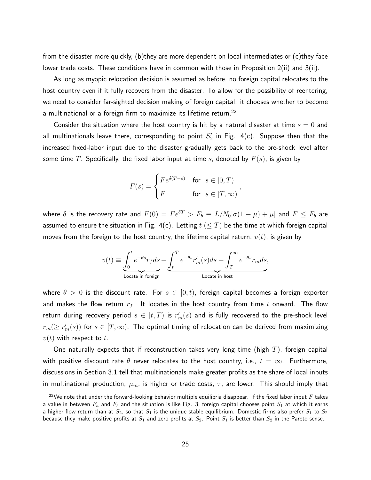from the disaster more quickly, (b)they are more dependent on local intermediates or (c)they face lower trade costs. These conditions have in common with those in Proposition 2(ii) and 3(ii).

As long as myopic relocation decision is assumed as before, no foreign capital relocates to the host country even if it fully recovers from the disaster. To allow for the possibility of reentering, we need to consider far-sighted decision making of foreign capital: it chooses whether to become a multinational or a foreign firm to maximize its lifetime return.<sup>22</sup>

Consider the situation where the host country is hit by a natural disaster at time  $s = 0$  and all multinationals leave there, corresponding to point  $S_{2}^{\prime}$  in Fig. 4(c). Suppose then that the increased fixed-labor input due to the disaster gradually gets back to the pre-shock level after some time T. Specifically, the fixed labor input at time s, denoted by  $F(s)$ , is given by

$$
F(s) = \begin{cases} Fe^{\delta(T-s)} & \text{for } s \in [0, T) \\ F & \text{for } s \in [T, \infty) \end{cases}
$$

where  $\delta$  is the recovery rate and  $F(0) = Fe^{\delta T} > F_b \equiv L/N_0[\sigma(1-\mu) + \mu]$  and  $F \leq F_b$  are assumed to ensure the situation in Fig. 4(c). Letting  $t \leq T$ ) be the time at which foreign capital moves from the foreign to the host country, the lifetime capital return,  $v(t)$ , is given by

$$
v(t)\equiv \underbrace{\int_0^t e^{-\theta s} r_f ds}_{\text{Locate in foreign}} + \underbrace{\int_t^T e^{-\theta s} r_m'(s) ds}_{\text{Locate in host}} + \int_T^\infty e^{-\theta s} r_m ds, \label{eq:vel}
$$

where  $\theta > 0$  is the discount rate. For  $s \in [0, t)$ , foreign capital becomes a foreign exporter and makes the flow return  $r_f$ . It locates in the host country from time t onward. The flow return during recovery period  $s\in[t,T)$  is  $r_m'(s)$  and is fully recovered to the pre-shock level  $r_m(\geq r_m'(s))$  for  $s\in[T,\infty).$  The optimal timing of relocation can be derived from maximizing  $v(t)$  with respect to t.

One naturally expects that if reconstruction takes very long time (high  $T$ ), foreign capital with positive discount rate  $\theta$  never relocates to the host country, i.e.,  $t = \infty$ . Furthermore, discussions in Section 3.1 tell that multinationals make greater profits as the share of local inputs in multinational production,  $\mu_m$ , is higher or trade costs,  $\tau$ , are lower. This should imply that

<sup>&</sup>lt;sup>22</sup>We note that under the forward-looking behavior multiple equilibria disappear. If the fixed labor input F takes a value in between  $F_a$  and  $F_b$  and the situation is like Fig. 3, foreign capital chooses point  $S_1$  at which it earns a higher flow return than at  $S_2$ , so that  $S_1$  is the unique stable equilibrium. Domestic firms also prefer  $S_1$  to  $S_2$ because they make positive profits at  $S_1$  and zero profits at  $S_2.$  Point  $S_1$  is better than  $S_2$  in the Pareto sense.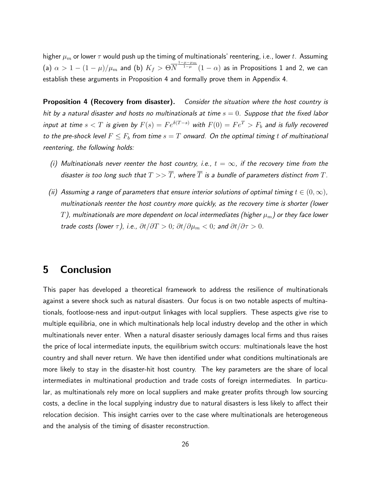higher  $\mu_m$  or lower  $\tau$  would push up the timing of multinationals' reentering, i.e., lower t. Assuming (a)  $\alpha > 1 - (1-\mu)/\mu_m$  and (b)  $K_f > \Theta N$  $\frac{1-\mu-\mu_{m}}{1-\mu}(1-\alpha)$  as in Propositions 1 and 2, we can establish these arguments in Proposition 4 and formally prove them in Appendix 4.

Proposition 4 (Recovery from disaster). *Consider the situation where the host country is hit by a natural disaster and hosts no multinationals at time* s = 0*. Suppose that the fixed labor input at time*  $s < T$  *is given by*  $F(s) = Fe^{\delta(T-s)}$  *with*  $F(0) = Fe^T > F_b$  *and is fully recovered to the pre-shock level*  $F \leq F_b$  *from time*  $s = T$  *onward. On the optimal timing* t *of multinational reentering, the following holds:*

- *(i)* Multinationals never reenter the host country, i.e.,  $t = \infty$ , if the recovery time from the *disaster is too long such that*  $T >> \overline{T}$ , where  $\overline{T}$  *is a bundle of parameters distinct from*  $T$ *.*
- *(ii)* Assuming a range of parameters that ensure interior solutions of optimal timing  $t \in (0, \infty)$ , *multinationals reenter the host country more quickly, as the recovery time is shorter (lower*  $T$ ), multinationals are more dependent on local intermediates (higher  $\mu_m$ ) or they face lower *trade costs (lower*  $\tau$ *), i.e.,*  $\partial t / \partial T > 0$ *;*  $\partial t / \partial \mu_m < 0$ *; and*  $\partial t / \partial \tau > 0$ *.*

# 5 Conclusion

This paper has developed a theoretical framework to address the resilience of multinationals against a severe shock such as natural disasters. Our focus is on two notable aspects of multinationals, footloose-ness and input-output linkages with local suppliers. These aspects give rise to multiple equilibria, one in which multinationals help local industry develop and the other in which multinationals never enter. When a natural disaster seriously damages local firms and thus raises the price of local intermediate inputs, the equilibrium switch occurs: multinationals leave the host country and shall never return. We have then identified under what conditions multinationals are more likely to stay in the disaster-hit host country. The key parameters are the share of local intermediates in multinational production and trade costs of foreign intermediates. In particular, as multinationals rely more on local suppliers and make greater profits through low sourcing costs, a decline in the local supplying industry due to natural disasters is less likely to affect their relocation decision. This insight carries over to the case where multinationals are heterogeneous and the analysis of the timing of disaster reconstruction.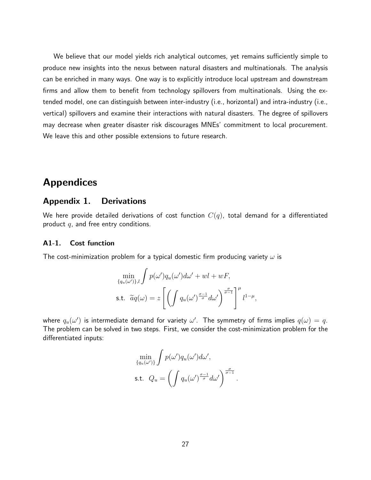We believe that our model yields rich analytical outcomes, yet remains sufficiently simple to produce new insights into the nexus between natural disasters and multinationals. The analysis can be enriched in many ways. One way is to explicitly introduce local upstream and downstream firms and allow them to benefit from technology spillovers from multinationals. Using the extended model, one can distinguish between inter-industry (i.e., horizontal) and intra-industry (i.e., vertical) spillovers and examine their interactions with natural disasters. The degree of spillovers may decrease when greater disaster risk discourages MNEs' commitment to local procurement. We leave this and other possible extensions to future research.

# Appendices

### Appendix 1. Derivations

We here provide detailed derivations of cost function  $C(q)$ , total demand for a differentiated product  $q$ , and free entry conditions.

#### A1-1. Cost function

The cost-minimization problem for a typical domestic firm producing variety  $\omega$  is

$$
\min_{\{q_u(\omega')\},l} \int p(\omega')q_u(\omega')d\omega' + \omega l + \omega F,
$$
  
s.t.  $\tilde{a}q(\omega) = z \left[ \left( \int q_u(\omega')^{\frac{\sigma-1}{\sigma}} d\omega' \right)^{\frac{\sigma}{\sigma-1}} \right]^\mu l^{1-\mu},$ 

where  $q_u(\omega')$  is intermediate demand for variety  $\omega'.$  The symmetry of firms implies  $q(\omega)=q.$ The problem can be solved in two steps. First, we consider the cost-minimization problem for the differentiated inputs:

$$
\min_{\{q_u(\omega')\}} \int p(\omega')q_u(\omega')d\omega',
$$
  
s.t.  $Q_u = \left(\int q_u(\omega')^{\frac{\sigma-1}{\sigma}}d\omega'\right)^{\frac{\sigma}{\sigma-1}}.$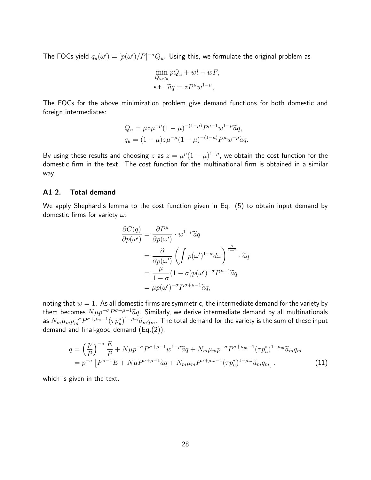The FOCs yield  $q_u(\omega')=[p(\omega')/P]^{-\sigma}Q_u.$  Using this, we formulate the original problem as

$$
\min_{Q_u, q_u} pQ_u + w l + wF,
$$
  
s.t.  $\widetilde{a}q = zP^{\mu}w^{1-\mu},$ 

The FOCs for the above minimization problem give demand functions for both domestic and foreign intermediates:

$$
Q_u = \mu z \mu^{-\mu} (1 - \mu)^{-(1 - \mu)} P^{\mu - 1} w^{1 - \mu} \tilde{a} q,
$$
  
\n
$$
q_u = (1 - \mu) z \mu^{-\mu} (1 - \mu)^{-(1 - \mu)} P^{\mu} w^{-\mu} \tilde{a} q.
$$

By using these results and choosing z as  $z = \mu^{\mu}(1-\mu)^{1-\mu}$ , we obtain the cost function for the domestic firm in the text. The cost function for the multinational firm is obtained in a similar way.

#### A1-2. Total demand

We apply Shephard's lemma to the cost function given in Eq. (5) to obtain input demand by domestic firms for variety  $\omega$ :

$$
\frac{\partial C(q)}{\partial p(\omega')} = \frac{\partial P^{\mu}}{\partial p(\omega')} \cdot w^{1-\mu} \tilde{a}q
$$
  
= 
$$
\frac{\partial}{\partial p(\omega')} \left( \int p(\omega')^{1-\sigma} d\omega \right)^{\frac{\mu}{1-\sigma}} \cdot \tilde{a}q
$$
  
= 
$$
\frac{\mu}{1-\sigma} (1-\sigma) p(\omega')^{-\sigma} P^{\mu-1} \tilde{a}q
$$
  
= 
$$
\mu p(\omega')^{-\sigma} P^{\sigma+\mu-1} \tilde{a}q,
$$

noting that  $w = 1$ . As all domestic firms are symmetric, the intermediate demand for the variety by them becomes  $N \mu p^{-\sigma} P^{\sigma+\mu-1} \tilde{a}q$ . Similarly, we derive intermediate demand by all multinationals as  $N_m \mu_m p_m^{-\sigma} P^{\sigma+\mu_m-1} (\tau p_n^*)^{1-\mu_m} \widetilde{a}_m q_m$ . The total demand for the variety is the sum of these input demand and final-good demand (Eq.(2)):

$$
q = \left(\frac{p}{P}\right)^{-\sigma} \frac{E}{P} + N\mu p^{-\sigma} P^{\sigma+\mu-1} w^{1-\mu} \tilde{a}q + N_m \mu_m p^{-\sigma} P^{\sigma+\mu_m-1} (\tau p_u^*)^{1-\mu_m} \tilde{a}_m q_m
$$
  
=  $p^{-\sigma} \left[ P^{\sigma-1} E + N\mu P^{\sigma+\mu-1} \tilde{a}q + N_m \mu_m P^{\sigma+\mu_m-1} (\tau p_u^*)^{1-\mu_m} \tilde{a}_m q_m \right].$  (11)

which is given in the text.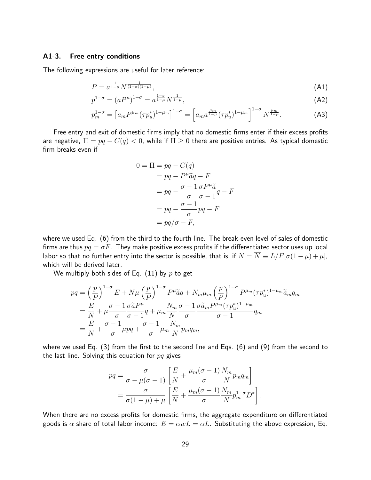#### A1-3. Free entry conditions

The following expressions are useful for later reference:

$$
P = a^{\frac{1}{1-\mu}} N^{\frac{1}{(1-\sigma)(1-\mu)}},\tag{A1}
$$

$$
p^{1-\sigma} = (aP^{\mu})^{1-\sigma} = a^{\frac{1-\sigma}{1-\mu}} N^{\frac{1}{1-\mu}}, \tag{A2}
$$

$$
p_m^{1-\sigma} = \left[ a_m P^{\mu_m} (\tau p_u^*)^{1-\mu_m} \right]^{1-\sigma} = \left[ a_m a^{\frac{\mu_m}{1-\mu}} (\tau p_u^*)^{1-\mu_m} \right]^{1-\sigma} N^{\frac{\mu_m}{1-\mu}}.
$$
 (A3)

Free entry and exit of domestic firms imply that no domestic firms enter if their excess profits are negative,  $\Pi = pq - C(q) < 0$ , while if  $\Pi \geq 0$  there are positive entries. As typical domestic firm breaks even if

$$
0 = \Pi = pq - C(q)
$$
  
=  $pq - P^{\mu}\tilde{a}q - F$   
=  $pq - \frac{\sigma - 1}{\sigma}\frac{\sigma P^{\mu}\tilde{a}}{\sigma - 1}q - F$   
=  $pq - \frac{\sigma - 1}{\sigma}pq - F$   
=  $pq/\sigma - F$ ,

where we used Eq. (6) from the third to the fourth line. The break-even level of sales of domestic firms are thus  $pq = \sigma F$ . They make positive excess profits if the differentiated sector uses up local labor so that no further entry into the sector is possible, that is, if  $N = \overline{N} \equiv L/F[\sigma(1-\mu)+\mu]$ , which will be derived later.

We multiply both sides of Eq.  $(11)$  by p to get

$$
pq = \left(\frac{p}{P}\right)^{1-\sigma} E + N\mu \left(\frac{p}{P}\right)^{1-\sigma} P^{\mu} \tilde{a}q + N_m \mu_m \left(\frac{p}{P}\right)^{1-\sigma} P^{\mu_m} (\tau p_u^*)^{1-\mu_m} \tilde{a}_m q_m
$$
  
=  $\frac{E}{N} + \mu \frac{\sigma - 1}{\sigma} \frac{\sigma \tilde{a} P^{\mu}}{\sigma - 1} q + \mu_m \frac{N_m}{N} \frac{\sigma - 1}{\sigma} \frac{\sigma \tilde{a}_m P^{\mu_m} (\tau p_u^*)^{1-\mu_m}}{\sigma - 1} q_m$   
=  $\frac{E}{N} + \frac{\sigma - 1}{\sigma} \mu pq + \frac{\sigma - 1}{\sigma} \mu_m \frac{N_m}{N} p_m q_m$ ,

where we used Eq. (3) from the first to the second line and Eqs. (6) and (9) from the second to the last line. Solving this equation for  $pq$  gives

$$
pq = \frac{\sigma}{\sigma - \mu(\sigma - 1)} \left[ \frac{E}{N} + \frac{\mu_m(\sigma - 1)}{\sigma} \frac{N_m}{N} p_m q_m \right]
$$
  
= 
$$
\frac{\sigma}{\sigma(1 - \mu) + \mu} \left[ \frac{E}{N} + \frac{\mu_m(\sigma - 1)}{\sigma} \frac{N_m}{N} p_m^{1 - \sigma} D^* \right].
$$

When there are no excess profits for domestic firms, the aggregate expenditure on differentiated goods is  $\alpha$  share of total labor income:  $E = \alpha wL = \alpha L$ . Substituting the above expression, Eq.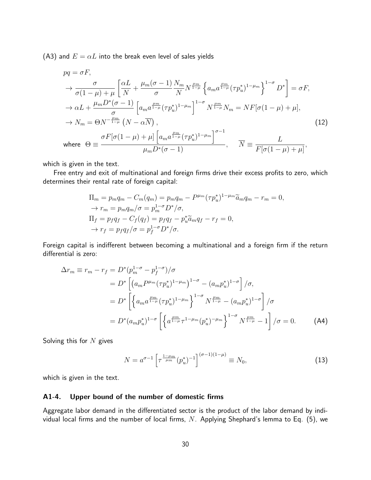(A3) and  $E = \alpha L$  into the break even level of sales yields

$$
pq = \sigma F,
$$
  
\n
$$
\rightarrow \frac{\sigma}{\sigma(1-\mu)+\mu} \left[ \frac{\alpha L}{N} + \frac{\mu_m(\sigma-1)}{\sigma} \frac{N_m}{N} N^{\frac{\mu_m}{1-\mu}} \left\{ a_m a^{\frac{\mu_m}{1-\mu}} (\tau p_u^*)^{1-\mu_m} \right\}^{1-\sigma} D^* \right] = \sigma F,
$$
  
\n
$$
\rightarrow \alpha L + \frac{\mu_m D^*(\sigma-1)}{\sigma} \left[ a_m a^{\frac{\mu_m}{1-\mu}} (\tau p_u^*)^{1-\mu_m} \right]^{1-\sigma} N^{\frac{\mu_m}{1-\mu}} N_m = N F[\sigma(1-\mu)+\mu],
$$
  
\n
$$
\rightarrow N_m = \Theta N^{-\frac{\mu_m}{1-\mu}} (N - \alpha \overline{N}),
$$
  
\nwhere  $\Theta \equiv \frac{\sigma F[\sigma(1-\mu)+\mu] \left[ a_m a^{\frac{\mu_m}{1-\mu}} (\tau p_u^*)^{1-\mu_m} \right]^{\sigma-1}}{\mu_m D^*(\sigma-1)}, \quad \overline{N} \equiv \frac{L}{F[\sigma(1-\mu)+\mu]},$  (12)

which is given in the text.

Free entry and exit of multinational and foreign firms drive their excess profits to zero, which determines their rental rate of foreign capital:

$$
\Pi_m = p_m q_m - C_m(q_m) = p_m q_m - P^{\mu_m} (\tau p_u^*)^{1-\mu_m} \tilde{a}_m q_m - r_m = 0,
$$
  
\n
$$
\rightarrow r_m = p_m q_m / \sigma = p_m^{1-\sigma} D^* / \sigma,
$$
  
\n
$$
\Pi_f = p_f q_f - C_f(q_f) = p_f q_f - p_u^* \tilde{a}_m q_f - r_f = 0,
$$
  
\n
$$
\rightarrow r_f = p_f q_f / \sigma = p_f^{1-\sigma} D^* / \sigma.
$$

Foreign capital is indifferent between becoming a multinational and a foreign firm if the return differential is zero:

$$
\Delta r_m \equiv r_m - r_f = D^* (p_m^{1-\sigma} - p_f^{1-\sigma})/\sigma
$$
  
\n
$$
= D^* \left[ \left( a_m P^{\mu_m} (\tau p_u^*)^{1-\mu_m} \right)^{1-\sigma} - \left( a_m p_u^* \right)^{1-\sigma} \right] / \sigma,
$$
  
\n
$$
= D^* \left[ \left\{ a_m a^{\frac{\mu_m}{1-\mu}} (\tau p_u^*)^{1-\mu_m} \right\}^{1-\sigma} N^{\frac{\mu_m}{1-\mu}} - \left( a_m p_u^* \right)^{1-\sigma} \right] / \sigma
$$
  
\n
$$
= D^* (a_m p_u^*)^{1-\sigma} \left[ \left\{ a^{\frac{\mu_m}{1-\mu}} \tau^{1-\mu_m} (p_u^*)^{-\mu_m} \right\}^{1-\sigma} N^{\frac{\mu_m}{1-\mu}} - 1 \right] / \sigma = 0. \tag{A4}
$$

Solving this for  $N$  gives

$$
N = a^{\sigma - 1} \left[ \tau^{\frac{1 - \mu_m}{\mu_m}} (p_u^*)^{-1} \right]^{(\sigma - 1)(1 - \mu)} \equiv N_0,
$$
\n(13)

which is given in the text.

#### A1-4. Upper bound of the number of domestic firms

Aggregate labor demand in the differentiated sector is the product of the labor demand by individual local firms and the number of local firms,  $N$ . Applying Shephard's lemma to Eq. (5), we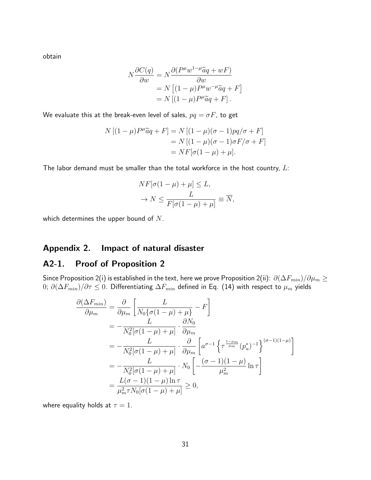obtain

$$
N \frac{\partial C(q)}{\partial w} = N \frac{\partial (P^{\mu} w^{1-\mu} \tilde{a}q + wF)}{\partial w}
$$
  
=  $N \left[ (1 - \mu) P^{\mu} w^{-\mu} \tilde{a}q + F \right]$   
=  $N \left[ (1 - \mu) P^{\mu} \tilde{a}q + F \right].$ 

We evaluate this at the break-even level of sales,  $pq = \sigma F$ , to get

$$
N [(1 - \mu)P^{\mu}\tilde{a}q + F] = N [(1 - \mu)(\sigma - 1)pq/\sigma + F]
$$
  
= 
$$
N [(1 - \mu)(\sigma - 1)\sigma F/\sigma + F]
$$
  
= 
$$
N F[\sigma(1 - \mu) + \mu].
$$

The labor demand must be smaller than the total workforce in the host country,  $L$ :

$$
NF[\sigma(1-\mu)+\mu] \le L,
$$
  
\n
$$
\rightarrow N \le \frac{L}{F[\sigma(1-\mu)+\mu]} \equiv \overline{N},
$$

which determines the upper bound of  $N$ .

### Appendix 2. Impact of natural disaster

## A2-1. Proof of Proposition 2

Since Proposition 2(i) is established in the text, here we prove Proposition 2(ii):  $\,\partial(\Delta F_{min})/\partial\mu_m\geq\,$  $0$ ;  $\partial (\Delta F_{min})/\partial \tau \leq 0.$  Differentiating  $\Delta F_{min}$  defined in Eq. (14) with respect to  $\mu_m$  yields

$$
\frac{\partial(\Delta F_{min})}{\partial \mu_m} = \frac{\partial}{\partial \mu_m} \left[ \frac{L}{N_0 \{ \sigma (1 - \mu) + \mu \}} - F \right]
$$
  
\n
$$
= -\frac{L}{N_0^2 [\sigma (1 - \mu) + \mu]} \cdot \frac{\partial N_0}{\partial \mu_m}
$$
  
\n
$$
= -\frac{L}{N_0^2 [\sigma (1 - \mu) + \mu]} \cdot \frac{\partial}{\partial \mu_m} \left[ a^{\sigma - 1} \left\{ \tau^{\frac{1 - \mu_m}{\mu_m}} (p_u^*)^{-1} \right\}^{(\sigma - 1)(1 - \mu)} \right]
$$
  
\n
$$
= -\frac{L}{N_0^2 [\sigma (1 - \mu) + \mu]} \cdot N_0 \left[ -\frac{(\sigma - 1)(1 - \mu)}{\mu_m^2} \ln \tau \right]
$$
  
\n
$$
= \frac{L(\sigma - 1)(1 - \mu) \ln \tau}{\mu_m^2 \tau N_0 [\sigma (1 - \mu) + \mu]} \ge 0,
$$

where equality holds at  $\tau = 1$ .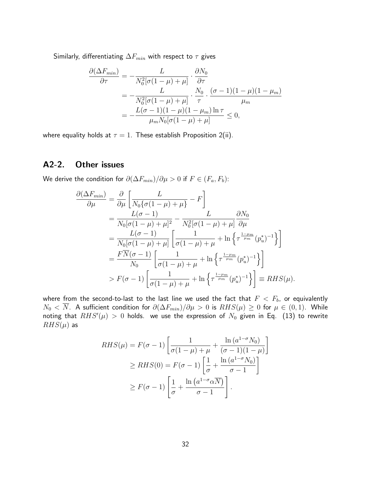Similarly, differentiating  $\Delta F_{min}$  with respect to  $\tau$  gives

$$
\frac{\partial(\Delta F_{min})}{\partial \tau} = -\frac{L}{N_0^2[\sigma(1-\mu)+\mu]} \cdot \frac{\partial N_0}{\partial \tau}
$$
  
= 
$$
-\frac{L}{N_0^2[\sigma(1-\mu)+\mu]} \cdot \frac{N_0}{\tau} \cdot \frac{(\sigma-1)(1-\mu)(1-\mu_m)}{\mu_m}
$$
  
= 
$$
-\frac{L(\sigma-1)(1-\mu)(1-\mu_m)\ln \tau}{\mu_m N_0[\sigma(1-\mu)+\mu]} \le 0,
$$

where equality holds at  $\tau = 1$ . These establish Proposition 2(ii).

# A2-2. Other issues

We derive the condition for  $\partial(\Delta F_{min})/\partial \mu > 0$  if  $F \in (F_a, F_b)$ :

$$
\frac{\partial(\Delta F_{min})}{\partial \mu} = \frac{\partial}{\partial \mu} \left[ \frac{L}{N_0 \{ \sigma (1 - \mu) + \mu \}} - F \right]
$$
  
\n
$$
= \frac{L(\sigma - 1)}{N_0 [\sigma (1 - \mu) + \mu]^2} - \frac{L}{N_0^2 [\sigma (1 - \mu) + \mu]} \frac{\partial N_0}{\partial \mu}
$$
  
\n
$$
= \frac{L(\sigma - 1)}{N_0 [\sigma (1 - \mu) + \mu]} \left[ \frac{1}{\sigma (1 - \mu) + \mu} + \ln \left\{ \tau^{\frac{1 - \mu m}{\mu m}} (p_u^*)^{-1} \right\} \right]
$$
  
\n
$$
= \frac{F \overline{N} (\sigma - 1)}{N_0} \left[ \frac{1}{\sigma (1 - \mu) + \mu} + \ln \left\{ \tau^{\frac{1 - \mu m}{\mu m}} (p_u^*)^{-1} \right\} \right]
$$
  
\n
$$
> F(\sigma - 1) \left[ \frac{1}{\sigma (1 - \mu) + \mu} + \ln \left\{ \tau^{\frac{1 - \mu m}{\mu m}} (p_u^*)^{-1} \right\} \right] \equiv RHS(\mu).
$$

where from the second-to-last to the last line we used the fact that  $F < F_b$ , or equivalently  $N_0 < \overline{N}$ . A sufficient condition for  $\partial(\Delta F_{min})/\partial \mu > 0$  is  $RHS(\mu) \ge 0$  for  $\mu \in (0,1)$ . While noting that  $RHS'(\mu) \, > \, 0$  holds. we use the expression of  $N_0$  given in Eq.  $\,$  (13) to rewrite  $RHS(\mu)$  as

$$
RHS(\mu) = F(\sigma - 1) \left[ \frac{1}{\sigma(1 - \mu) + \mu} + \frac{\ln(a^{1 - \sigma} N_0)}{(\sigma - 1)(1 - \mu)} \right]
$$
  
\n
$$
\ge RHS(0) = F(\sigma - 1) \left[ \frac{1}{\sigma} + \frac{\ln(a^{1 - \sigma} N_0)}{\sigma - 1} \right]
$$
  
\n
$$
\ge F(\sigma - 1) \left[ \frac{1}{\sigma} + \frac{\ln(a^{1 - \sigma} \alpha N)}{\sigma - 1} \right].
$$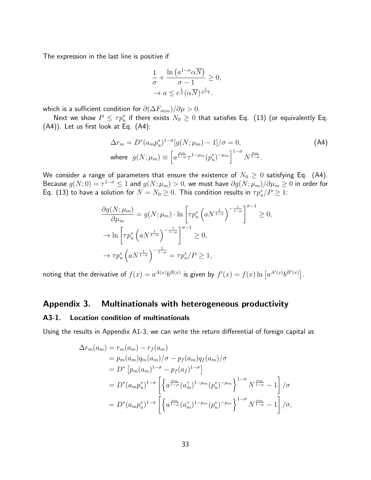The expression in the last line is positive if

$$
\frac{1}{\sigma} + \frac{\ln (a^{1-\sigma} \alpha \overline{N})}{\sigma - 1} \ge 0,
$$
  

$$
\to a \le e^{\frac{1}{\sigma}} (\alpha \overline{N})^{\frac{1}{\sigma - 1}}.
$$

which is a sufficient condition for  $\partial(\Delta F_{min})/\partial \mu > 0$ .

Next we show  $P\leq \tau p_u^*$  if there exists  $N_0\geq 0$  that satisfies Eq. (13) (or equivalently Eq. (A4)). Let us first look at Eq. (A4):

$$
\Delta r_m = D^*(a_m p_u^*)^{1-\sigma} [g(N; \mu_m) - 1] / \sigma = 0,
$$
  
where  $g(N; \mu_m) \equiv \left[ a^{\frac{\mu_m}{1-\mu}} \tau^{1-\mu_m} (p_u^*)^{-\mu_m} \right]^{1-\sigma} N^{\frac{\mu_m}{1-\mu}}.$  (A4)

We consider a range of parameters that ensure the existence of  $N_0 \geq 0$  satisfying Eq. (A4). Because  $g(N;0)=\tau^{1-\sigma}\leq 1$  and  $g(N;\mu_m)>0$ , we must have  $\partial g(N;\mu_m)/\partial\mu_m\geq 0$  in order for Eq. (13) to have a solution for  $N=N_0\geq 0$ . This condition results in  $\tau p^*_u/P\geq 1$ :

$$
\frac{\partial g(N; \mu_m)}{\partial \mu_m} = g(N; \mu_m) \cdot \ln \left[ \tau p_u^* \left( a N^{\frac{1}{1-\sigma}} \right)^{-\frac{1}{1-\mu}} \right]^{\sigma-1} \ge 0,
$$
  

$$
\to \ln \left[ \tau p_u^* \left( a N^{\frac{1}{1-\sigma}} \right)^{-\frac{1}{1-\mu}} \right]^{\sigma-1} \ge 0,
$$
  

$$
\to \tau p_u^* \left( a N^{\frac{1}{1-\sigma}} \right)^{-\frac{1}{1-\mu}} = \tau p_u^* / P \ge 1,
$$

noting that the derivative of  $f(x) = a^{A(x)}b^{B(x)}$  is given by  $f'(x) = f(x) \ln \left[a^{A'(x)}b^{B'(x)}\right]$ .

# Appendix 3. Multinationals with heterogeneous productivity

#### A3-1. Location condition of multinationals

Using the results in Appendix A1-3, we can write the return differential of foreign capital as

$$
\Delta r_m(a_m) = r_m(a_m) - r_f(a_m)
$$
  
=  $p_m(a_m)q_m(a_m)/\sigma - p_f(a_m)q_f(a_m)/\sigma$   
=  $D^* [p_m(a_m)^{1-\sigma} - p_f(a_f)^{1-\sigma}]$   
=  $D^*(a_m p_u^*)^{1-\sigma} \left[ \left\{ a^{\frac{\mu_m}{1-\mu}} (a_m^{\gamma})^{1-\mu_m} (p_u^*)^{-\mu_m} \right\}^{1-\sigma} N^{\frac{\mu_m}{1-\mu}} - 1 \right] / \sigma$   
=  $D^*(a_m p_u^*)^{1-\sigma} \left[ \left\{ a^{\frac{\mu_m}{1-\mu}} (a_m^{\gamma})^{1-\mu_m} (p_u^*)^{-\mu_m} \right\}^{1-\sigma} N^{\frac{\mu_m}{1-\mu}} - 1 \right] / \sigma$ ,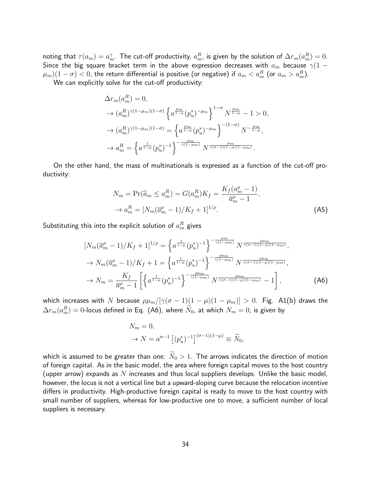noting that  $\tau(a_m)=a_m^\gamma.$  The cut-off productivity,  $a_m^R$ , is given by the solution of  $\Delta r_m(a_m^R)=0.$ Since the big square bracket term in the above expression decreases with  $a_m$  because  $\gamma(1 (\mu_m)(1-\sigma) < 0$ , the return differential is positive (or negative) if  $a_m < a_m^R$  (or  $a_m > a_m^R$ ).

We can explicitly solve for the cut-off productivity:

$$
\Delta r_m(a_m^R) = 0,
$$
  
\n
$$
\rightarrow (a_m^R)^{\gamma(1-\mu_m)(1-\sigma)} \left\{ a^{\frac{\mu_m}{1-\mu}} (p_u^*)^{-\mu_m} \right\}^{1-\sigma} N^{\frac{\mu_m}{1-\mu}} - 1 > 0,
$$
  
\n
$$
\rightarrow (a_m^R)^{\gamma(1-\mu_m)(1-\sigma)} = \left\{ a^{\frac{\mu_m}{1-\mu}} (p_u^*)^{-\mu_m} \right\}^{-(1-\sigma)} N^{-\frac{\mu_m}{1-\mu}},
$$
  
\n
$$
\rightarrow a_m^R = \left\{ a^{\frac{1}{1-\mu}} (p_u^*)^{-1} \right\}^{-\frac{\mu_m}{\gamma(1-\mu_m)}} N^{\frac{\mu_m}{\gamma(\sigma-1)(1-\mu)(1-\mu_m)}}.
$$

On the other hand, the mass of multinationals is expressed as a function of the cut-off productivity:

$$
N_m = \Pr(\widehat{a}_m \le a_m^R) = G(a_m^R)K_f = \frac{K_f(a_m^{\rho} - 1)}{\overline{a}_m^{\rho} - 1},
$$
  
\n
$$
\to a_m^R = [N_m(\overline{a}_m^{\rho} - 1)/K_f + 1]^{1/\rho}.
$$
 (A5)

Substituting this into the explicit solution of  $a_m^R$  gives

$$
\left[N_m(\overline{a}_m^{\rho}-1)/K_f+1\right]^{1/\rho} = \left\{a^{\frac{1}{1-\mu}}(p_u^*)^{-1}\right\}^{-\frac{\mu_m}{\gamma(1-\mu_m)}} N^{\frac{\rho\mu_m}{\gamma(\sigma-1)(1-\mu)(1-\mu_m)}},
$$
  
\n
$$
\rightarrow N_m(\overline{a}_m^{\rho}-1)/K_f+1 = \left\{a^{\frac{1}{1-\mu}}(p_u^*)^{-1}\right\}^{-\frac{\rho\mu_m}{\gamma(1-\mu_m)}} N^{\frac{\rho\mu_m}{\gamma(\sigma-1)(1-\mu)(1-\mu_m)}},
$$
  
\n
$$
\rightarrow N_m = \frac{K_f}{\overline{a}_m^{\rho}-1} \left[\left\{a^{\frac{1}{1-\mu}}(p_u^*)^{-1}\right\}^{-\frac{\rho\mu_m}{\gamma(1-\mu_m)}} N^{\frac{\rho\mu_m}{\gamma(\sigma-1)(1-\mu)(1-\mu_m)}} - 1\right],
$$
 (A6)

which increases with N because  $\rho\mu_m/[\gamma(\sigma-1)(1-\mu)(1-\mu_m)] > 0$ . Fig. A1(b) draws the  $\Delta r_m(a_m^R)=0$ -locus defined in Eq. (A6), where  $\tilde{N}_0$ , at which  $N_m=0$ , is given by

$$
N_m = 0,
$$
  
\n
$$
\to N = a^{\sigma - 1} \left[ (p_u^*)^{-1} \right]^{(\sigma - 1)(1 - \mu)} \equiv \widetilde{N}_0,
$$

which is assumed to be greater than one:  $N_0 > 1$ . The arrows indicates the direction of motion of foreign capital. As in the basic model, the area where foreign capital moves to the host country (upper arrow) expands as N increases and thus local suppliers develops. Unlike the basic model, however, the locus is not a vertical line but a upward-sloping curve because the relocation incentive differs in productivity. High-productive foreign capital is ready to move to the host country with small number of suppliers, whereas for low-productive one to move, a sufficient number of local suppliers is necessary.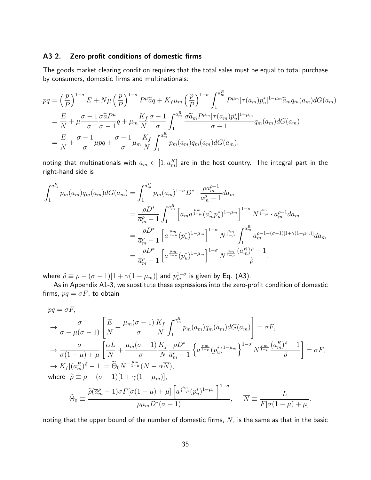#### A3-2. Zero-profit conditions of domestic firms

The goods market clearing condition requires that the total sales must be equal to total purchase by consumers, domestic firms and multinationals:

$$
pq = \left(\frac{p}{P}\right)^{1-\sigma} E + N\mu \left(\frac{p}{P}\right)^{1-\sigma} P^{\mu} \tilde{a}q + K_f \mu_m \left(\frac{p}{P}\right)^{1-\sigma} \int_1^{a_m^R} P^{\mu_m} [\tau(a_m) p_u^*]^{1-\mu_m} \tilde{a}_m q_m(a_m) dG(a_m)
$$
  

$$
= \frac{E}{N} + \mu \frac{\sigma - 1}{\sigma} \frac{\sigma \tilde{a} P^{\mu}}{\sigma - 1} q + \mu_m \frac{K_f}{N} \frac{\sigma - 1}{\sigma} \int_1^{a_m^R} \frac{\sigma \tilde{a}_m P^{\mu_m} [\tau(a_m) p_u^*]^{1-\mu_m}}{\sigma - 1} q_m(a_m) dG(a_m)
$$
  

$$
= \frac{E}{N} + \frac{\sigma - 1}{\sigma} \mu p q + \frac{\sigma - 1}{\sigma} \mu_m \frac{K_f}{N} \int_1^{a_m^R} p_m(a_m) q_m(a_m) dG(a_m),
$$

noting that multinationals with  $a_m \in [1, a_m^R]$  are in the host country. The integral part in the right-hand side is

$$
\int_{1}^{a_{m}^{R}} p_{m}(a_{m}) q_{m}(a_{m}) dG(a_{m}) = \int_{1}^{a_{m}^{R}} p_{m}(a_{m})^{1-\sigma} D^{*} \cdot \frac{\rho a_{m}^{\rho-1}}{\overline{a}_{m}^{\rho}-1} da_{m}
$$
\n
$$
= \frac{\rho D^{*}}{\overline{a}_{m}^{\rho}-1} \int_{1}^{a_{m}^{R}} \left[ a_{m} a^{\frac{\mu m}{1-\mu}} (a_{m}^{\gamma} p_{u}^{*})^{1-\mu_{m}} \right]^{1-\sigma} N^{\frac{\mu_{m}}{1-\mu}} \cdot a_{m}^{\rho-1} da_{m}
$$
\n
$$
= \frac{\rho D^{*}}{\overline{a}_{m}^{\rho}-1} \left[ a^{\frac{\mu_{m}}{1-\mu}} (p_{u}^{*})^{1-\mu_{m}} \right]^{1-\sigma} N^{\frac{\mu_{m}}{1-\mu}} \int_{1}^{a_{m}^{R}} a_{m}^{\rho-1-(\sigma-1)[1+\gamma(1-\mu_{m})]} da_{m}
$$
\n
$$
= \frac{\rho D^{*}}{\overline{a}_{m}^{\rho}-1} \left[ a^{\frac{\mu_{m}}{1-\mu}} (p_{u}^{*})^{1-\mu_{m}} \right]^{1-\sigma} N^{\frac{\mu_{m}}{1-\mu}} \frac{(a_{m}^{R})^{\tilde{\rho}}-1}{\tilde{\rho}},
$$

where  $\widetilde{\rho} \equiv \rho - (\sigma - 1)[1 + \gamma(1 - \mu_m)]$  and  $p_m^{1-\sigma}$  is given by Eq. (A3).

As in Appendix A1-3, we substitute these expressions into the zero-profit condition of domestic firms,  $pq = \sigma F$ , to obtain

$$
pq = \sigma F,
$$
  
\n
$$
\rightarrow \frac{\sigma}{\sigma - \mu(\sigma - 1)} \left[ \frac{E}{N} + \frac{\mu_m(\sigma - 1)}{\sigma} \frac{K_f}{N} \int_1^{a_m^R} p_m(a_m) q_m(a_m) dG(a_m) \right] = \sigma F,
$$
  
\n
$$
\rightarrow \frac{\sigma}{\sigma(1 - \mu) + \mu} \left[ \frac{\alpha L}{N} + \frac{\mu_m(\sigma - 1)}{\sigma} \frac{K_f}{N} \frac{\rho D^*}{\overline{a}_m^{\rho} - 1} \left\{ a^{\frac{\mu_m}{1 - \mu}} (p_u^*)^{1 - \mu_m} \right\}^{1 - \sigma} N^{\frac{\mu_m}{1 - \mu}} \frac{(a_m^R)^{\widetilde{\rho}} - 1}{\widetilde{\rho}} \right] = \sigma F,
$$
  
\n
$$
\rightarrow K_f \left[ (a_m^R)^{\widetilde{\rho}} - 1 \right] = \widetilde{\Theta}_0 N^{-\frac{\mu_m}{1 - \mu}} (N - \alpha \overline{N}),
$$
  
\nwhere  $\widetilde{\rho} \equiv \rho - (\sigma - 1)[1 + \gamma(1 - \mu_m)],$   
\n
$$
\widetilde{\Theta}_0 \equiv \frac{\widetilde{\rho}(\overline{a}_m^{\rho} - 1) \sigma F[\sigma(1 - \mu) + \mu] \left[ a^{\frac{\mu_m}{1 - \mu}} (p_u^*)^{1 - \mu_m} \right]^{1 - \sigma}}{\rho \mu_m D^* (\sigma - 1)}, \quad \overline{N} \equiv \frac{L}{F[\sigma(1 - \mu) + \mu]},
$$

noting that the upper bound of the number of domestic firms,  $\overline{N}$ , is the same as that in the basic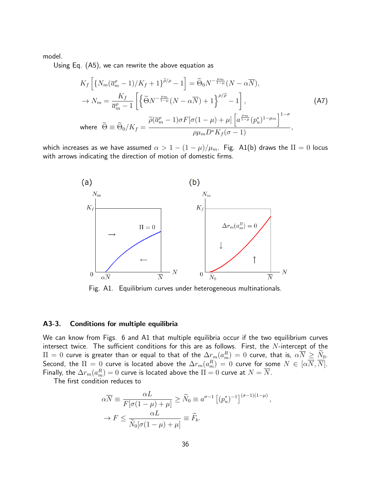model.

Using Eq. (A5), we can rewrite the above equation as

$$
K_f \left[ \{ N_m (\overline{a}_m^{\rho} - 1) / K_f + 1 \}^{\tilde{\rho}/\rho} - 1 \right] = \tilde{\Theta}_0 N^{-\frac{\mu_m}{1 - \mu}} (N - \alpha \overline{N}),
$$
  
\n
$$
\rightarrow N_m = \frac{K_f}{\overline{a}_m^{\rho} - 1} \left[ \left\{ \widetilde{\Theta} N^{-\frac{\mu_m}{1 - \mu}} (N - \alpha \overline{N}) + 1 \right\}^{\rho/\tilde{\rho}} - 1 \right],
$$
  
\nwhere  $\widetilde{\Theta} \equiv \widetilde{\Theta}_0 / K_f = \frac{\widetilde{\rho} (\overline{a}_m^{\rho} - 1) \sigma F [\sigma (1 - \mu) + \mu] \left[ a^{\frac{\mu_m}{1 - \mu}} (p_u^*)^{1 - \mu_m} \right]^{1 - \sigma}}{\rho \mu_m D^* K_f (\sigma - 1)},$  (A7)

which increases as we have assumed  $\alpha > 1 - (1 - \mu)/\mu_m$ . Fig. A1(b) draws the  $\Pi = 0$  locus with arrows indicating the direction of motion of domestic firms.



Fig. A1. Equilibrium curves under heterogeneous multinationals.

#### A3-3. Conditions for multiple equilibria

We can know from Figs. 6 and A1 that multiple equilibria occur if the two equilibrium curves intersect twice. The sufficient conditions for this are as follows. First, the  $N$ -intercept of the  $\Pi=0$  curve is greater than or equal to that of the  $\Delta r_m(a_m^R)=0$  curve, that is,  $\alpha \overline{N}\geq \overline{N}_0.$ Second, the  $\Pi=0$  curve is located above the  $\Delta r_m(a_m^R)=0$  curve for some  $N\in [\alpha\overline{N},\overline{N}].$ Finally, the  $\Delta r_m(a_m^R)=0$  curve is located above the  $\Pi=0$  curve at  $N=\overline{N}.$ 

The first condition reduces to

$$
\alpha \overline{N} \equiv \frac{\alpha L}{F[\sigma(1-\mu)+\mu]} \ge \widetilde{N}_0 \equiv a^{\sigma-1} \left[ (p_u^*)^{-1} \right]^{(\sigma-1)(1-\mu)},
$$
  

$$
\rightarrow F \le \frac{\alpha L}{\widetilde{N}_0[\sigma(1-\mu)+\mu]} \equiv \widetilde{F}_b.
$$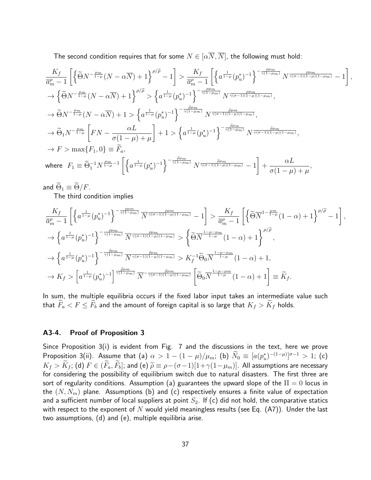The second condition requires that for some  $N \in [\alpha \overline{N}, \overline{N}]$ , the following must hold:

$$
\frac{K_{f}}{\overline{a}_{m}^{\rho}-1}\left[\left\{\widetilde{\Theta}N^{-\frac{\mu m}{1-\mu}}(N-\alpha\overline{N})+1\right\}^{\rho/\widetilde{\rho}}-1\right] > \frac{K_{f}}{\overline{a}_{m}^{\rho}-1}\left[\left\{a^{\frac{1}{1-\mu}}(p_{u}^{*})^{-1}\right\}^{-\frac{\rho\mu m}{\gamma(1-\mu m)}}N^{\frac{\rho\mu m}{\gamma(\sigma-1)(1-\mu)(1-\mu m)}}-1\right],
$$
  
\n
$$
\rightarrow \left\{\widetilde{\Theta}N^{-\frac{\mu m}{1-\mu}}(N-\alpha\overline{N})+1\right\}^{\rho/\widetilde{\rho}} > \left\{a^{\frac{1}{1-\mu}}(p_{u}^{*})^{-1}\right\}^{-\frac{\rho\mu m}{\gamma(1-\mu m)}}N^{\frac{\rho\mu m}{\gamma(\sigma-1)(1-\mu)(1-\mu m)}},
$$
  
\n
$$
\rightarrow \widetilde{\Theta}N^{-\frac{\mu m}{1-\mu}}(N-\alpha\overline{N})+1 > \left\{a^{\frac{1}{1-\mu}}(p_{u}^{*})^{-1}\right\}^{-\frac{\widetilde{\rho}\mu m}{\gamma(1-\mu m)}}N^{\frac{\widetilde{\rho}\mu m}{\gamma(\sigma-1)(1-\mu)(1-\mu m)}},
$$
  
\n
$$
\rightarrow \widetilde{\Theta}_{1}N^{-\frac{\mu m}{1-\mu}}\left[FN-\frac{\alpha L}{\sigma(1-\mu)+\mu}\right]+1 > \left\{a^{\frac{1}{1-\mu}}(p_{u}^{*})^{-1}\right\}^{-\frac{\widetilde{\rho}\mu m}{\gamma(1-\mu m)}}N^{\frac{\widetilde{\rho}\mu m}{\gamma(\sigma-1)(1-\mu)(1-\mu m)}},
$$
  
\n
$$
\rightarrow F > \max\{F_{1},0\} \equiv \widetilde{F}_{a},
$$
  
\nwhere  $F_{1} \equiv \widetilde{\Theta}_{1}^{-1}N^{\frac{\mu m}{1-\mu}-1}\left[\left\{a^{\frac{1}{1-\mu}}(p_{u}^{*})^{-1}\right\}^{-\frac{\widetilde{\rho}\mu m}{\gamma(1-\mu m)}}N^{\frac{\widetilde{\rho}\mu m}{\gamma(\sigma-1)(1-\mu)(1-\mu m)}}-1\right] + \frac{\alpha L}{\sigma(1-\mu)+\mu},$ 

and  $\widetilde{\Theta}_1 \equiv \widetilde{\Theta}/F$ .

The third condition implies

$$
\frac{K_f}{\overline{a}_m^{\rho} - 1} \left[ \left\{ a^{\frac{1}{1-\mu}} (p_u^*)^{-1} \right\}^{-\frac{\rho \mu_m}{\gamma(1-\mu_m)}} \overline{N}^{\frac{\rho \mu_m}{\gamma(\sigma-1)(1-\mu)(1-\mu_m)}} - 1 \right] > \frac{K_f}{\overline{a}_m^{\rho} - 1} \left[ \left\{ \widetilde{\Theta} \overline{N}^{1 - \frac{\mu_m}{1-\mu}} (1-\alpha) + 1 \right\}^{\rho/\widetilde{\rho}} - 1 \right],
$$
  

$$
\rightarrow \left\{ a^{\frac{1}{1-\mu}} (p_u^*)^{-1} \right\}^{-\frac{\rho \mu_m}{\gamma(1-\mu_m)}} \overline{N}^{\frac{\rho \mu_m}{\gamma(\sigma-1)(1-\mu)(1-\mu_m)}} > \left\{ \widetilde{\Theta} \overline{N}^{\frac{1-\mu-\mu_m}{1-\mu}} (1-\alpha) + 1 \right\}^{\rho/\widetilde{\rho}},
$$
  

$$
\rightarrow \left\{ a^{\frac{1}{1-\mu}} (p_u^*)^{-1} \right\}^{-\frac{\widetilde{\rho} \mu_m}{\gamma(1-\mu_m)}} \overline{N}^{\frac{\widetilde{\rho} \mu_m}{\gamma(\sigma-1)(1-\mu)(1-\mu_m)}} > K_f^{-1} \widetilde{\Theta}_0 \overline{N}^{\frac{1-\mu-\mu_m}{1-\mu}} (1-\alpha) + 1,
$$
  

$$
\rightarrow K_f > \left[ a^{\frac{1}{1-\mu}} (p_u^*)^{-1} \right]^{\frac{\widetilde{\rho} \mu_m}{\gamma(1-\mu_m)}} \overline{N}^{-\frac{\widetilde{\rho} \mu_m}{\gamma(\sigma-1)(1-\mu)(1-\mu_m)}} \left[ \widetilde{\Theta}_0 \overline{N}^{\frac{1-\mu-\mu_m}{1-\mu}} (1-\alpha) + 1 \right] \equiv \widetilde{K}_f.
$$

In sum, the multiple equilibria occurs if the fixed labor input takes an intermediate value such that  $\tilde{F}_a < F \leq \tilde{F}_b$  and the amount of foreign capital is so large that  $K_f > \tilde{K}_f$  holds.

#### A3-4. Proof of Proposition 3

Since Proposition 3(i) is evident from Fig. 7 and the discussions in the text, here we prove Proposition 3(ii). Assume that (a)  $\alpha > 1 - (1-\mu)/\mu_m$ ; (b)  $N_0 \equiv [a(p_u^*)^{-(1-\mu)}]^{\sigma-1} > 1$ ; (c)  $K_f > \widetilde{K}_f$ ; (d)  $F \in (\widetilde{F}_a, \widetilde{F}_b]$ ; and (e)  $\widetilde{\rho} \equiv \rho - (\sigma - 1)[1 + \gamma(1 - \mu_m)]$ . All assumptions are necessary for considering the possibility of equilibrium switch due to natural disasters. The first three are sort of regularity conditions. Assumption (a) guarantees the upward slope of the  $\Pi = 0$  locus in the  $(N, N_m)$  plane. Assumptions (b) and (c) respectively ensures a finite value of expectation and a sufficient number of local suppliers at point  $S_2$ . If (c) did not hold, the comparative statics with respect to the exponent of N would yield meaningless results (see Eq. (A7)). Under the last two assumptions, (d) and (e), multiple equilibria arise.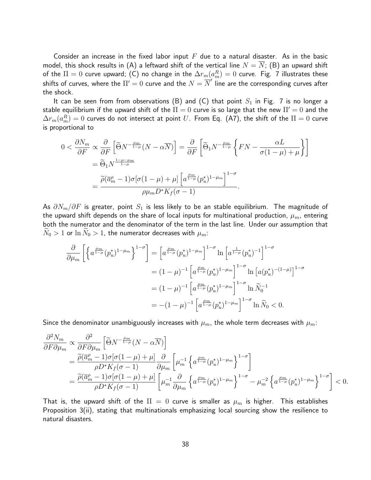Consider an increase in the fixed labor input  $F$  due to a natural disaster. As in the basic model, this shock results in (A) a leftward shift of the vertical line  $N = N$ ; (B) an upward shift of the  $\Pi=0$  curve upward; (C) no change in the  $\Delta r_m(a_m^R)=0$  curve. Fig. 7 illustrates these shifts of curves, where the  $\Pi'=0$  curve and the  $N=\overline{N}'$  line are the corresponding curves after the shock.

It can be seen from from observations (B) and (C) that point  $S_1$  in Fig. 7 is no longer a stable equilibrium if the upward shift of the  $\Pi = 0$  curve is so large that the new  $\Pi' = 0$  and the  $\Delta r_m(a_m^R)=0$  curves do not intersect at point  $U.$  From Eq. (A7), the shift of the  $\Pi=0$  curve is proportional to

$$
0 < \frac{\partial N_m}{\partial F} \propto \frac{\partial}{\partial F} \left[ \widetilde{\Theta} N^{-\frac{\mu_m}{1-\mu}} (N - \alpha \overline{N}) \right] = \frac{\partial}{\partial F} \left[ \widetilde{\Theta}_1 N^{-\frac{\mu_m}{1-\mu}} \left\{ F N - \frac{\alpha L}{\sigma (1-\mu) + \mu} \right\} \right]
$$
\n
$$
= \widetilde{\Theta}_1 N^{\frac{1-\mu-\mu_m}{1-\mu}}
$$
\n
$$
= \frac{\widetilde{\rho} (\overline{a}_m^{\rho} - 1) \sigma [\sigma (1-\mu) + \mu] \left[ a^{\frac{\mu_m}{1-\mu}} (p_u^*)^{1-\mu_m} \right]^{1-\sigma}}{\rho \mu_m D^* K_f (\sigma - 1)}.
$$

As  $\partial N_m/\partial F$  is greater, point  $S_1$  is less likely to be an stable equilibrium. The magnitude of the upward shift depends on the share of local inputs for multinational production,  $\mu_m$ , entering both the numerator and the denominator of the term in the last line. Under our assumption that  $N_0 > 1$  or  $\ln N_0 > 1$ , the numerator decreases with  $\mu_m$ :

$$
\frac{\partial}{\partial \mu_m} \left[ \left\{ a^{\frac{\mu_m}{1-\mu}} (p_u^*)^{1-\mu_m} \right\}^{1-\sigma} \right] = \left[ a^{\frac{\mu_m}{1-\mu}} (p_u^*)^{1-\mu_m} \right]^{1-\sigma} \ln \left[ a^{\frac{1}{1-\mu}} (p_u^*)^{-1} \right]^{1-\sigma}
$$

$$
= (1-\mu)^{-1} \left[ a^{\frac{\mu_m}{1-\mu}} (p_u^*)^{1-\mu_m} \right]^{1-\sigma} \ln \left[ a (p_u^*)^{-(1-\mu)} \right]^{1-\sigma}
$$

$$
= (1-\mu)^{-1} \left[ a^{\frac{\mu_m}{1-\mu}} (p_u^*)^{1-\mu_m} \right]^{1-\sigma} \ln \widetilde{N}_0^{-1}
$$

$$
= -(1-\mu)^{-1} \left[ a^{\frac{\mu_m}{1-\mu}} (p_u^*)^{1-\mu_m} \right]^{1-\sigma} \ln \widetilde{N}_0 < 0.
$$

Since the denominator unambiguously increases with  $\mu_m$ , the whole term decreases with  $\mu_m$ :

$$
\frac{\partial^2 N_m}{\partial F \partial \mu_m} \propto \frac{\partial^2}{\partial F \partial \mu_m} \left[ \tilde{\Theta} N^{-\frac{\mu_m}{1-\mu}} (N - \alpha \overline{N}) \right]
$$
\n
$$
= \frac{\tilde{\rho} (\overline{a}_m^{\rho} - 1) \sigma [\sigma (1 - \mu) + \mu]}{\rho D^* K_f (\sigma - 1)} \frac{\partial}{\partial \mu_m} \left[ \mu_m^{-1} \left\{ a^{\frac{\mu_m}{1-\mu}} (p_u^*)^{1 - \mu_m} \right\}^{1 - \sigma} \right]
$$
\n
$$
= \frac{\tilde{\rho} (\overline{a}_m^{\rho} - 1) \sigma [\sigma (1 - \mu) + \mu]}{\rho D^* K_f (\sigma - 1)} \left[ \mu_m^{-1} \frac{\partial}{\partial \mu_m} \left\{ a^{\frac{\mu_m}{1-\mu}} (p_u^*)^{1 - \mu_m} \right\}^{1 - \sigma} - \mu_m^{-2} \left\{ a^{\frac{\mu_m}{1-\mu}} (p_u^*)^{1 - \mu_m} \right\}^{1 - \sigma} \right] < 0.
$$

That is, the upward shift of the  $\Pi = 0$  curve is smaller as  $\mu_m$  is higher. This establishes Proposition 3(ii), stating that multinationals emphasizing local sourcing show the resilience to natural disasters.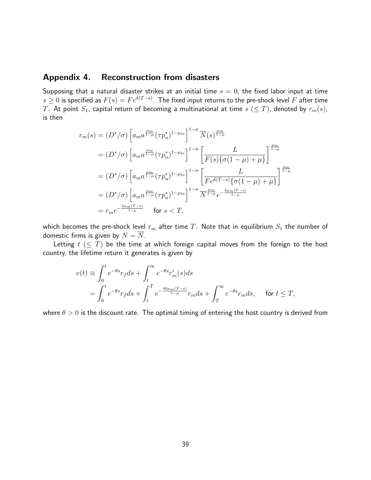### Appendix 4. Reconstruction from disasters

Supposing that a natural disaster strikes at an initial time  $s = 0$ , the fixed labor input at time  $s\geq 0$  is specified as  $F(s)=F e^{\delta(T-s)}.$  The fixed input returns to the pre-shock level  $F$  after time T. At point  $S_1$ , capital return of becoming a multinational at time  $s \ (\leq T)$ , denoted by  $r_m(s)$ , is then

$$
r_m(s) = (D^*/\sigma) \left[ a_m a^{\frac{\mu m}{1-\mu}} (\tau p_u^*)^{1-\mu_m} \right]^{1-\sigma} \overline{N}(s)^{\frac{\mu m}{1-\mu}}
$$
  
\n
$$
= (D^*/\sigma) \left[ a_m a^{\frac{\mu m}{1-\mu}} (\tau p_u^*)^{1-\mu_m} \right]^{1-\sigma} \left[ \frac{L}{F(s) \{ \sigma(1-\mu) + \mu \}} \right]^{\frac{\mu m}{1-\mu}}
$$
  
\n
$$
= (D^*/\sigma) \left[ a_m a^{\frac{\mu m}{1-\mu}} (\tau p_u^*)^{1-\mu_m} \right]^{1-\sigma} \left[ \frac{L}{F e^{\delta(T-s)} \{ \sigma(1-\mu) + \mu \}} \right]^{\frac{\mu m}{1-\mu}}
$$
  
\n
$$
= (D^*/\sigma) \left[ a_m a^{\frac{\mu m}{1-\mu}} (\tau p_u^*)^{1-\mu_m} \right]^{1-\sigma} \overline{N}^{\frac{\mu m}{1-\mu}} e^{-\frac{\delta \mu_m(T-s)}{1-\mu}}
$$
  
\n
$$
= r_m e^{-\frac{\delta \mu_m(T-s)}{1-\mu}} \quad \text{for } s < T,
$$

which becomes the pre-shock level  $r_m$  after time  $T$ . Note that in equilibrium  $S_1$  the number of domestic firms is given by  $N = \overline{N}$ .

Letting  $t \leq T$ ) be the time at which foreign capital moves from the foreign to the host country, the lifetime return it generates is given by

$$
v(t) \equiv \int_0^t e^{-\theta s} r_f ds + \int_t^\infty e^{-\theta s} r'_m(s) ds
$$
  
= 
$$
\int_0^t e^{-\theta s} r_f ds + \int_t^T e^{-\frac{\theta \delta \mu_m (T-s)}{1-\mu}} r_m ds + \int_T^\infty e^{-\theta s} r_m ds, \quad \text{for } t \le T,
$$

where  $\theta > 0$  is the discount rate. The optimal timing of entering the host country is derived from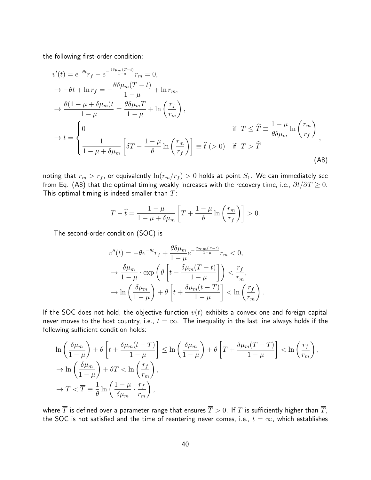the following first-order condition:

$$
v'(t) = e^{-\theta t}r_f - e^{-\frac{\theta \delta \mu_m (T-t)}{1-\mu}}r_m = 0,
$$
  
\n
$$
\rightarrow -\theta t + \ln r_f = -\frac{\theta \delta \mu_m (T-t)}{1-\mu} + \ln r_m,
$$
  
\n
$$
\rightarrow \frac{\theta(1-\mu+\delta \mu_m)t}{1-\mu} = \frac{\theta \delta \mu_m T}{1-\mu} + \ln \left(\frac{r_f}{r_m}\right),
$$
  
\n
$$
\rightarrow t = \begin{cases} 0 & \text{if } T \leq \widehat{T} \equiv \frac{1-\mu}{\theta \delta \mu_m} \ln \left(\frac{r_m}{r_f}\right) \\ \frac{1}{1-\mu+\delta \mu_m} \left[\delta T - \frac{1-\mu}{\theta} \ln \left(\frac{r_m}{r_f}\right)\right] \equiv \widehat{t} \ (>0) & \text{if } T > \widehat{T} \end{cases}
$$
\n(A8)

noting that  $r_m > r_f$ , or equivalently  $\ln(r_m/r_f) > 0$  holds at point  $S_1$ . We can immediately see from Eq. (A8) that the optimal timing weakly increases with the recovery time, i.e.,  $\partial t/\partial T \geq 0$ . This optimal timing is indeed smaller than  $T$ :

$$
T - \hat{t} = \frac{1 - \mu}{1 - \mu + \delta \mu_m} \left[ T + \frac{1 - \mu}{\theta} \ln \left( \frac{r_m}{r_f} \right) \right] > 0.
$$

The second-order condition (SOC) is

$$
v''(t) = -\theta e^{-\theta t} r_f + \frac{\theta \delta \mu_m}{1 - \mu} e^{-\frac{\theta \delta \mu_m (T - t)}{1 - \mu}} r_m < 0,
$$
  

$$
\rightarrow \frac{\delta \mu_m}{1 - \mu} \cdot \exp\left(\theta \left[ t - \frac{\delta \mu_m (T - t)}{1 - \mu} \right] \right) < \frac{r_f}{r_m},
$$
  

$$
\rightarrow \ln\left(\frac{\delta \mu_m}{1 - \mu}\right) + \theta \left[ t + \frac{\delta \mu_m (t - T)}{1 - \mu} \right] < \ln\left(\frac{r_f}{r_m}\right)
$$

.

If the SOC does not hold, the objective function  $v(t)$  exhibits a convex one and foreign capital never moves to the host country, i.e.,  $t = \infty$ . The inequality in the last line always holds if the following sufficient condition holds:

$$
\ln\left(\frac{\delta\mu_m}{1-\mu}\right) + \theta \left[t + \frac{\delta\mu_m(t-T)}{1-\mu}\right] \le \ln\left(\frac{\delta\mu_m}{1-\mu}\right) + \theta \left[T + \frac{\delta\mu_m(T-T)}{1-\mu}\right] < \ln\left(\frac{r_f}{r_m}\right),
$$
  

$$
\to \ln\left(\frac{\delta\mu_m}{1-\mu}\right) + \theta T < \ln\left(\frac{r_f}{r_m}\right),
$$
  

$$
\to T < \overline{T} \equiv \frac{1}{\theta} \ln\left(\frac{1-\mu}{\delta\mu_m} \cdot \frac{r_f}{r_m}\right),
$$

where  $\overline{T}$  is defined over a parameter range that ensures  $\overline{T} > 0$ . If T is sufficiently higher than  $\overline{T}$ , the SOC is not satisfied and the time of reentering never comes, i.e.,  $t = \infty$ , which establishes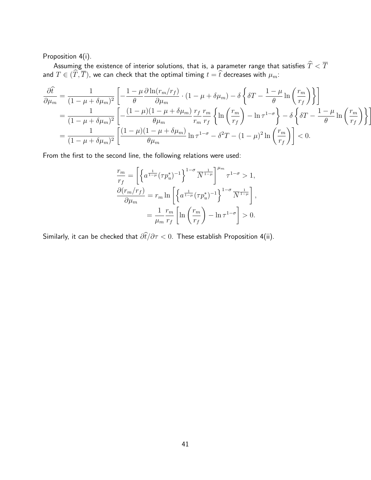Proposition 4(i).

Assuming the existence of interior solutions, that is, a parameter range that satisfies  $T < T$ and  $T \in (T, T)$ , we can check that the optimal timing  $t = t$  decreases with  $\mu_m$ :

$$
\frac{\partial \hat{t}}{\partial \mu_m} = \frac{1}{(1 - \mu + \delta \mu_m)^2} \left[ -\frac{1 - \mu}{\theta} \frac{\partial \ln(r_m/r_f)}{\partial \mu_m} \cdot (1 - \mu + \delta \mu_m) - \delta \left\{ \delta T - \frac{1 - \mu}{\theta} \ln \left( \frac{r_m}{r_f} \right) \right\} \right]
$$
  
\n
$$
= \frac{1}{(1 - \mu + \delta \mu_m)^2} \left[ -\frac{(1 - \mu)(1 - \mu + \delta \mu_m)}{\theta \mu_m} \frac{r_f}{r_m} \frac{r_m}{r_f} \left\{ \ln \left( \frac{r_m}{r_f} \right) - \ln \tau^{1 - \sigma} \right\} - \delta \left\{ \delta T - \frac{1 - \mu}{\theta} \ln \left( \frac{r_m}{r_f} \right) \right\} \right]
$$
  
\n
$$
= \frac{1}{(1 - \mu + \delta \mu_m)^2} \left[ \frac{(1 - \mu)(1 - \mu + \delta \mu_m)}{\theta \mu_m} \ln \tau^{1 - \sigma} - \delta^2 T - (1 - \mu)^2 \ln \left( \frac{r_m}{r_f} \right) \right] < 0.
$$

From the first to the second line, the following relations were used:

$$
\frac{r_m}{r_f} = \left[ \left\{ a^{\frac{1}{1-\mu}} (\tau p_u^*)^{-1} \right\}^{1-\sigma} \overline{N}^{\frac{1}{1-\mu}} \right]^{\mu_m} \tau^{1-\sigma} > 1,
$$
  

$$
\frac{\partial (r_m/r_f)}{\partial \mu_m} = r_m \ln \left[ \left\{ a^{\frac{1}{1-\mu}} (\tau p_u^*)^{-1} \right\}^{1-\sigma} \overline{N}^{\frac{1}{1-\mu}} \right],
$$
  

$$
= \frac{1}{\mu_m} \frac{r_m}{r_f} \left[ \ln \left( \frac{r_m}{r_f} \right) - \ln \tau^{1-\sigma} \right] > 0.
$$

Similarly, it can be checked that  $\partial \hat{t}/\partial \tau < 0$ . These establish Proposition 4(ii).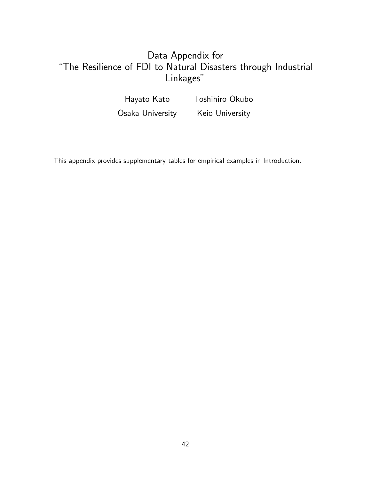# Data Appendix for "The Resilience of FDI to Natural Disasters through Industrial Linkages"

Hayato Kato Toshihiro Okubo Osaka University Keio University

This appendix provides supplementary tables for empirical examples in Introduction.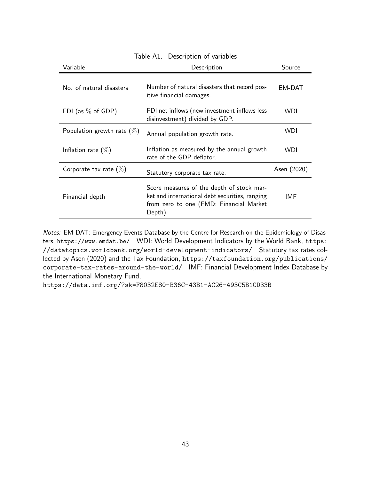| Variable                      | Description                                                                                                                                       | Source      |
|-------------------------------|---------------------------------------------------------------------------------------------------------------------------------------------------|-------------|
| No. of natural disasters      | Number of natural disasters that record pos-<br>itive financial damages.                                                                          | EM-DAT      |
| FDI (as $%$ of GDP)           | FDI net inflows (new investment inflows less<br>disinvestment) divided by GDP.                                                                    | <b>WDI</b>  |
| Population growth rate $(\%)$ | Annual population growth rate.                                                                                                                    | <b>WDI</b>  |
| Inflation rate $(\%)$         | Inflation as measured by the annual growth<br>rate of the GDP deflator.                                                                           | <b>WDI</b>  |
| Corporate tax rate $(\%)$     | Statutory corporate tax rate.                                                                                                                     | Asen (2020) |
| Financial depth               | Score measures of the depth of stock mar-<br>ket and international debt securities, ranging<br>from zero to one (FMD: Financial Market<br>Depth). | IMF         |

Table A1. Description of variables

Notes: EM-DAT: Emergency Events Database by the Centre for Research on the Epidemiology of Disasters, https://www.emdat.be/ WDI: World Development Indicators by the World Bank, https: //datatopics.worldbank.org/world-development-indicators/ Statutory tax rates collected by Asen (2020) and the Tax Foundation, https://taxfoundation.org/publications/ corporate-tax-rates-around-the-world/ IMF: Financial Development Index Database by the International Monetary Fund,

https://data.imf.org/?sk=F8032E80-B36C-43B1-AC26-493C5B1CD33B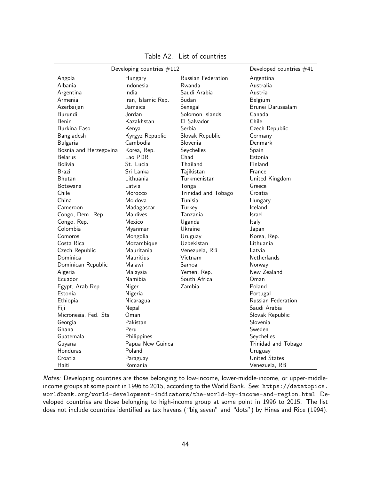| Developing countries $#112$ |                    |                     | Developed countries #41   |
|-----------------------------|--------------------|---------------------|---------------------------|
| Angola                      | Hungary            | Russian Federation  | Argentina                 |
| Albania                     | Indonesia          | Rwanda              | Australia                 |
| Argentina                   | India              | Saudi Arabia        | Austria                   |
| Armenia                     | Iran, Islamic Rep. | Sudan               | Belgium                   |
| Azerbaijan                  | Jamaica            | Senegal             | Brunei Darussalam         |
| Burundi                     | Jordan             | Solomon Islands     | Canada                    |
| Benin                       | Kazakhstan         | El Salvador         | Chile                     |
| Burkina Faso                | Kenya              | Serbia              | Czech Republic            |
| Bangladesh                  | Kyrgyz Republic    | Slovak Republic     | Germany                   |
| Bulgaria                    | Cambodia           | Slovenia            | Denmark                   |
| Bosnia and Herzegovina      | Korea, Rep.        | Seychelles          | Spain                     |
| <b>Belarus</b>              | Lao PDR            | Chad                | Estonia                   |
| Bolivia                     | St. Lucia          | Thailand            | Finland                   |
| Brazil                      | Sri Lanka          | Tajikistan          | France                    |
| Bhutan                      | Lithuania          | Turkmenistan        | United Kingdom            |
| Botswana                    | Latvia             | Tonga               | Greece                    |
| Chile                       | Morocco            | Trinidad and Tobago | Croatia                   |
| China                       | Moldova            | Tunisia             | Hungary                   |
| Cameroon                    | Madagascar         | Turkey              | Iceland                   |
| Congo, Dem. Rep.            | <b>Maldives</b>    | Tanzania            | Israel                    |
| Congo, Rep.                 | Mexico             | Uganda              | Italy                     |
| Colombia                    | Myanmar            | Ukraine             | Japan                     |
| Comoros                     | Mongolia           | Uruguay             | Korea, Rep.               |
| Costa Rica                  | Mozambique         | Uzbekistan          | Lithuania                 |
| Czech Republic              | Mauritania         | Venezuela, RB       | Latvia                    |
| Dominica                    | <b>Mauritius</b>   | Vietnam             | Netherlands               |
| Dominican Republic          | Malawi             | Samoa               | Norway                    |
| Algeria                     | Malaysia           | Yemen, Rep.         | New Zealand               |
| Ecuador                     | Namibia            | South Africa        | Oman                      |
| Egypt, Arab Rep.            | Niger              | Zambia              | Poland                    |
| Estonia                     | Nigeria            |                     | Portugal                  |
| Ethiopia                    | Nicaragua          |                     | <b>Russian Federation</b> |
| Fiji                        | Nepal              |                     | Saudi Arabia              |
| Micronesia, Fed. Sts.       | Oman               |                     | Slovak Republic           |
| Georgia                     | Pakistan           |                     | Slovenia                  |
| Ghana                       | Peru               |                     | Sweden                    |
| Guatemala                   | Philippines        |                     | Seychelles                |
| Guyana                      | Papua New Guinea   |                     | Trinidad and Tobago       |
| Honduras                    | Poland             |                     | Uruguay                   |
| Croatia                     | Paraguay           |                     | <b>United States</b>      |
| Haiti                       | Romania            |                     | Venezuela, RB             |

Table A2. List of countries

Notes: Developing countries are those belonging to low-income, lower-middle-income, or upper-middleincome groups at some point in 1996 to 2015, according to the World Bank. See: https://datatopics. worldbank.org/world-development-indicators/the-world-by-income-and-region.html Developed countries are those belonging to high-income group at some point in 1996 to 2015. The list does not include countries identified as tax havens ("big seven" and "dots") by Hines and Rice (1994).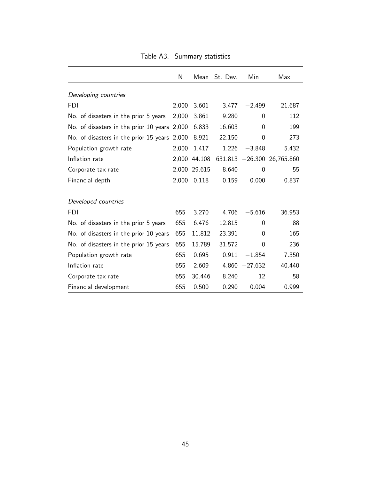|                                              | N     |              | Mean St. Dev. | Min       | Max                  |
|----------------------------------------------|-------|--------------|---------------|-----------|----------------------|
| Developing countries                         |       |              |               |           |                      |
| <b>FDI</b>                                   | 2,000 | 3.601        | 3.477         | $-2.499$  | 21.687               |
| No. of disasters in the prior 5 years        | 2,000 | 3.861        | 9.280         | 0         | 112                  |
| No. of disasters in the prior 10 years       | 2,000 | 6.833        | 16.603        | 0         | 199                  |
| No. of disasters in the prior 15 years 2,000 |       | 8.921        | 22.150        | 0         | 273                  |
| Population growth rate                       | 2,000 | 1.417        | 1.226         | $-3.848$  | 5.432                |
| Inflation rate                               |       | 2,000 44.108 | 631.813       |           | $-26.300$ 26,765.860 |
| Corporate tax rate                           |       | 2,000 29.615 | 8.640         | $\Omega$  | 55                   |
| Financial depth                              | 2,000 | 0.118        | 0.159         | 0.000     | 0.837                |
| Developed countries                          |       |              |               |           |                      |
| FDI                                          | 655   | 3.270        | 4.706         | $-5.616$  | 36.953               |
| No. of disasters in the prior 5 years        | 655   | 6.476        | 12.815        | 0         | 88                   |
| No. of disasters in the prior 10 years       | 655   | 11.812       | 23.391        | 0         | 165                  |
| No. of disasters in the prior 15 years       | 655   | 15.789       | 31.572        | 0         | 236                  |
| Population growth rate                       | 655   | 0.695        | 0.911         | $-1.854$  | 7.350                |
| Inflation rate                               | 655   | 2.609        | 4.860         | $-27.632$ | 40.440               |
| Corporate tax rate                           | 655   | 30.446       | 8.240         | 12        | 58                   |
| Financial development                        | 655   | 0.500        | 0.290         | 0.004     | 0.999                |

Table A3. Summary statistics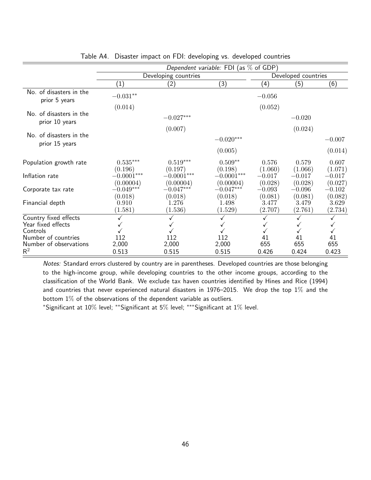|                                           | Dependent variable: FDI (as $%$ of GDP) |                           |                           |                     |                     |                     |  |
|-------------------------------------------|-----------------------------------------|---------------------------|---------------------------|---------------------|---------------------|---------------------|--|
|                                           |                                         | Developing countries      |                           |                     | Developed countries |                     |  |
|                                           | $\left( 1\right)$                       | (2)                       | (3)                       | $\left( 4\right)$   | (5)                 | (6)                 |  |
| No. of disasters in the<br>prior 5 years  | $-0.031**$                              |                           |                           | $-0.056$            |                     |                     |  |
|                                           | (0.014)                                 |                           |                           | (0.052)             |                     |                     |  |
| No. of disasters in the<br>prior 10 years |                                         | $-0.027^{***}\,$          |                           |                     | $-0.020$            |                     |  |
|                                           |                                         | (0.007)                   |                           |                     | (0.024)             |                     |  |
| No. of disasters in the<br>prior 15 years |                                         |                           | $-0.020***$               |                     |                     | $-0.007$            |  |
|                                           |                                         |                           | (0.005)                   |                     |                     | (0.014)             |  |
| Population growth rate                    | $0.535***$<br>(0.196)                   | $0.519***$<br>(0.197)     | $0.509**$<br>(0.198)      | 0.576<br>(1.060)    | 0.579<br>(1.066)    | 0.607<br>(1.071)    |  |
| Inflation rate                            | $-0.0001***$<br>(0.00004)               | $-0.0001***$<br>(0.00004) | $-0.0001***$<br>(0.00004) | $-0.017$<br>(0.028) | $-0.017$<br>(0.028) | $-0.017$<br>(0.027) |  |
| Corporate tax rate                        | $-0.049***$<br>(0.018)                  | $-0.047***$<br>(0.018)    | $-0.047***$<br>(0.018)    | $-0.093$<br>(0.081) | $-0.096$<br>(0.081) | $-0.102$<br>(0.082) |  |
| Financial depth                           | 0.910<br>(1.581)                        | 1.276<br>(1.536)          | 1.498<br>(1.529)          | 3.477<br>(2.707)    | 3.479<br>(2.761)    | 3.629<br>(2.734)    |  |
| Country fixed effects                     |                                         |                           |                           |                     |                     |                     |  |
| Year fixed effects                        |                                         |                           |                           |                     |                     |                     |  |
| Controls                                  |                                         |                           |                           |                     |                     |                     |  |
| Number of countries                       | 112                                     | 112                       | 112                       | 41                  | 41                  | 41                  |  |
| Number of observations<br>$\mathsf{R}^2$  | 2,000<br>0.513                          | 2,000<br>0.515            | 2,000<br>0.515            | 655<br>0.426        | 655<br>0.424        | 655<br>0.423        |  |

|  |  |  | Table A4. Disaster impact on FDI: developing vs. developed countries |  |  |
|--|--|--|----------------------------------------------------------------------|--|--|
|--|--|--|----------------------------------------------------------------------|--|--|

Notes: Standard errors clustered by country are in parentheses. Developed countries are those belonging to the high-income group, while developing countries to the other income groups, according to the classification of the World Bank. We exclude tax haven countries identified by Hines and Rice (1994) and countries that never experienced natural disasters in 1976–2015. We drop the top  $1\%$  and the bottom  $1\%$  of the observations of the dependent variable as outliers.

<sup>∗</sup>Significant at 10% level; ∗∗Significant at 5% level; ∗∗∗Significant at 1% level.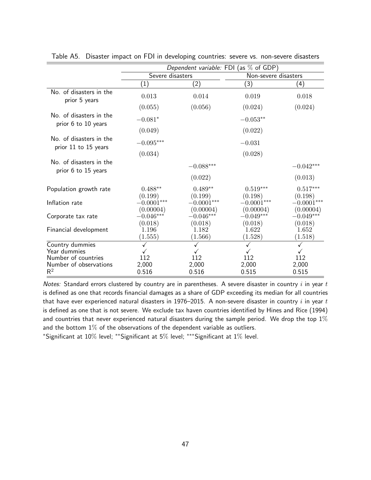|                                                 | Dependent variable: FDI (as $%$ of GDP) |                                     |                                     |                                     |  |
|-------------------------------------------------|-----------------------------------------|-------------------------------------|-------------------------------------|-------------------------------------|--|
|                                                 | Severe disasters                        |                                     | Non-severe disasters                |                                     |  |
|                                                 | $\left(1\right)$                        | (2)                                 | (3)                                 | (4)                                 |  |
| No. of disasters in the<br>prior 5 years        | 0.013                                   | 0.014                               | 0.019                               | 0.018                               |  |
|                                                 | (0.055)                                 | (0.056)                             | (0.024)                             | (0.024)                             |  |
| No. of disasters in the<br>prior 6 to 10 years  | $-0.081*$                               |                                     | $-0.053**$                          |                                     |  |
|                                                 | (0.049)                                 |                                     | (0.022)                             |                                     |  |
| No. of disasters in the<br>prior 11 to 15 years | $-0.095***$                             |                                     | $-0.031$                            |                                     |  |
|                                                 | (0.034)                                 |                                     | (0.028)                             |                                     |  |
| No. of disasters in the<br>prior 6 to 15 years  |                                         | $-0.088***$                         |                                     | $-0.042^{***}\,$                    |  |
|                                                 |                                         | (0.022)                             |                                     | (0.013)                             |  |
| Population growth rate                          | $0.488**$<br>(0.199)                    | $0.489**$<br>(0.199)                | $0.519^{***}\,$<br>(0.198)          | $0.517***$<br>(0.198)               |  |
| Inflation rate                                  | $-0.0001***$                            | $-0.0001***$                        | $-0.0001***$                        | $-0.0001***$                        |  |
| Corporate tax rate                              | (0.00004)<br>$-0.046***$<br>(0.018)     | (0.00004)<br>$-0.046***$<br>(0.018) | (0.00004)<br>$-0.049***$<br>(0.018) | (0.00004)<br>$-0.049***$<br>(0.018) |  |
| Financial development                           | 1.196<br>(1.555)                        | 1.182<br>(1.566)                    | 1.622<br>(1.528)                    | 1.652<br>(1.518)                    |  |
| Country dummies                                 |                                         |                                     |                                     |                                     |  |
| Year dummies                                    |                                         |                                     |                                     |                                     |  |
| Number of countries                             | 112                                     | 112                                 | 112                                 | 112                                 |  |
| Number of observations<br>$R^2$                 | 2,000<br>0.516                          | 2,000<br>0.516                      | 2,000<br>0.515                      | 2,000<br>0.515                      |  |

Table A5. Disaster impact on FDI in developing countries: severe vs. non-severe disasters

Notes: Standard errors clustered by country are in parentheses. A severe disaster in country  $i$  in year  $t$ is defined as one that records financial damages as a share of GDP exceeding its median for all countries that have ever experienced natural disasters in 1976–2015. A non-severe disaster in country  $i$  in year  $t$ is defined as one that is not severe. We exclude tax haven countries identified by Hines and Rice (1994) and countries that never experienced natural disasters during the sample period. We drop the top  $1\%$ and the bottom  $1\%$  of the observations of the dependent variable as outliers.

<sup>∗</sup>Significant at 10% level; ∗∗Significant at 5% level; ∗∗∗Significant at 1% level.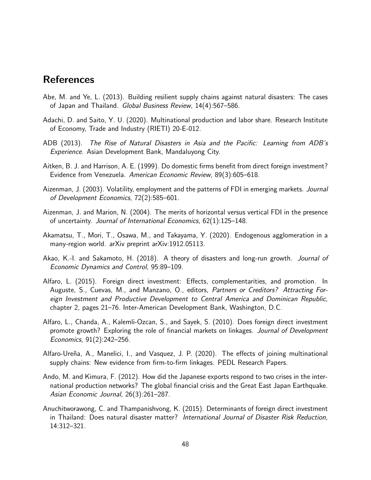# References

- Abe, M. and Ye, L. (2013). Building resilient supply chains against natural disasters: The cases of Japan and Thailand. *Global Business Review*, 14(4):567–586.
- Adachi, D. and Saito, Y. U. (2020). Multinational production and labor share. Research Institute of Economy, Trade and Industry (RIETI) 20-E-012.
- ADB (2013). *The Rise of Natural Disasters in Asia and the Pacific: Learning from ADB's Experience*. Asian Development Bank, Mandaluyong City.
- Aitken, B. J. and Harrison, A. E. (1999). Do domestic firms benefit from direct foreign investment? Evidence from Venezuela. *American Economic Review*, 89(3):605–618.
- Aizenman, J. (2003). Volatility, employment and the patterns of FDI in emerging markets. *Journal of Development Economics*, 72(2):585–601.
- Aizenman, J. and Marion, N. (2004). The merits of horizontal versus vertical FDI in the presence of uncertainty. *Journal of International Economics*, 62(1):125–148.
- Akamatsu, T., Mori, T., Osawa, M., and Takayama, Y. (2020). Endogenous agglomeration in a many-region world. arXiv preprint arXiv:1912.05113.
- Akao, K.-I. and Sakamoto, H. (2018). A theory of disasters and long-run growth. *Journal of Economic Dynamics and Control*, 95:89–109.
- Alfaro, L. (2015). Foreign direct investment: Effects, complementarities, and promotion. In Auguste, S., Cuevas, M., and Manzano, O., editors, *Partners or Creditors? Attracting Foreign Investment and Productive Development to Central America and Dominican Republic*, chapter 2, pages 21–76. Inter-American Development Bank, Washington, D.C.
- Alfaro, L., Chanda, A., Kalemli-Ozcan, S., and Sayek, S. (2010). Does foreign direct investment promote growth? Exploring the role of financial markets on linkages. *Journal of Development Economics*, 91(2):242–256.
- Alfaro-Ureña, A., Manelici, I., and Vasquez, J. P. (2020). The effects of joining multinational supply chains: New evidence from firm-to-firm linkages. PEDL Research Papers.
- Ando, M. and Kimura, F. (2012). How did the Japanese exports respond to two crises in the international production networks? The global financial crisis and the Great East Japan Earthquake. *Asian Economic Journal*, 26(3):261–287.
- Anuchitworawong, C. and Thampanishvong, K. (2015). Determinants of foreign direct investment in Thailand: Does natural disaster matter? *International Journal of Disaster Risk Reduction*, 14:312–321.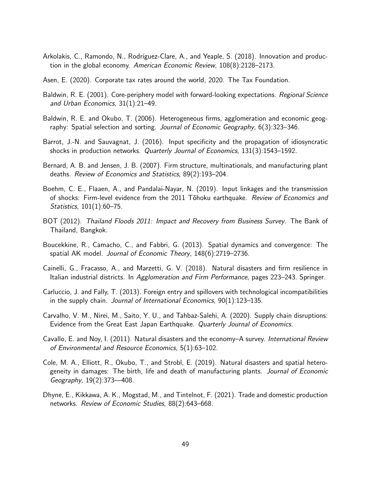- Arkolakis, C., Ramondo, N., Rodríguez-Clare, A., and Yeaple, S. (2018). Innovation and production in the global economy. *American Economic Review*, 108(8):2128–2173.
- Asen, E. (2020). Corporate tax rates around the world, 2020. The Tax Foundation.
- Baldwin, R. E. (2001). Core-periphery model with forward-looking expectations. *Regional Science and Urban Economics*, 31(1):21–49.
- Baldwin, R. E. and Okubo, T. (2006). Heterogeneous firms, agglomeration and economic geography: Spatial selection and sorting. *Journal of Economic Geography*, 6(3):323–346.
- Barrot, J.-N. and Sauvagnat, J. (2016). Input specificity and the propagation of idiosyncratic shocks in production networks. *Quarterly Journal of Economics*, 131(3):1543–1592.
- Bernard, A. B. and Jensen, J. B. (2007). Firm structure, multinationals, and manufacturing plant deaths. *Review of Economics and Statistics*, 89(2):193–204.
- Boehm, C. E., Flaaen, A., and Pandalai-Nayar, N. (2019). Input linkages and the transmission of shocks: Firm-level evidence from the 2011 T¯ohoku earthquake. *Review of Economics and Statistics*, 101(1):60–75.
- BOT (2012). *Thailand Floods 2011: Impact and Recovery from Business Survey*. The Bank of Thailand, Bangkok.
- Boucekkine, R., Camacho, C., and Fabbri, G. (2013). Spatial dynamics and convergence: The spatial AK model. *Journal of Economic Theory*, 148(6):2719–2736.
- Cainelli, G., Fracasso, A., and Marzetti, G. V. (2018). Natural disasters and firm resilience in Italian industrial districts. In *Agglomeration and Firm Performance*, pages 223–243. Springer.
- Carluccio, J. and Fally, T. (2013). Foreign entry and spillovers with technological incompatibilities in the supply chain. *Journal of International Economics*, 90(1):123–135.
- Carvalho, V. M., Nirei, M., Saito, Y. U., and Tahbaz-Salehi, A. (2020). Supply chain disruptions: Evidence from the Great East Japan Earthquake. *Quarterly Journal of Economics*.
- Cavallo, E. and Noy, I. (2011). Natural disasters and the economy–A survey. *International Review of Environmental and Resource Economics*, 5(1):63–102.
- Cole, M. A., Elliott, R., Okubo, T., and Strobl, E. (2019). Natural disasters and spatial heterogeneity in damages: The birth, life and death of manufacturing plants. *Journal of Economic Geography*, 19(2):373––408.
- Dhyne, E., Kikkawa, A. K., Mogstad, M., and Tintelnot, F. (2021). Trade and domestic production networks. *Review of Economic Studies*, 88(2):643–668.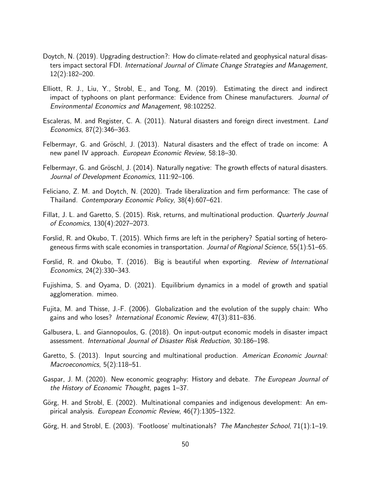- Doytch, N. (2019). Upgrading destruction?: How do climate-related and geophysical natural disasters impact sectoral FDI. *International Journal of Climate Change Strategies and Management*, 12(2):182–200.
- Elliott, R. J., Liu, Y., Strobl, E., and Tong, M. (2019). Estimating the direct and indirect impact of typhoons on plant performance: Evidence from Chinese manufacturers. *Journal of Environmental Economics and Management*, 98:102252.
- Escaleras, M. and Register, C. A. (2011). Natural disasters and foreign direct investment. *Land Economics*, 87(2):346–363.
- Felbermayr, G. and Gröschl, J. (2013). Natural disasters and the effect of trade on income: A new panel IV approach. *European Economic Review*, 58:18–30.
- Felbermayr, G. and Gröschl, J. (2014). Naturally negative: The growth effects of natural disasters. *Journal of Development Economics*, 111:92–106.
- Feliciano, Z. M. and Doytch, N. (2020). Trade liberalization and firm performance: The case of Thailand. *Contemporary Economic Policy*, 38(4):607–621.
- Fillat, J. L. and Garetto, S. (2015). Risk, returns, and multinational production. *Quarterly Journal of Economics*, 130(4):2027–2073.
- Forslid, R. and Okubo, T. (2015). Which firms are left in the periphery? Spatial sorting of heterogeneous firms with scale economies in transportation. *Journal of Regional Science*, 55(1):51–65.
- Forslid, R. and Okubo, T. (2016). Big is beautiful when exporting. *Review of International Economics*, 24(2):330–343.
- Fujishima, S. and Oyama, D. (2021). Equilibrium dynamics in a model of growth and spatial agglomeration. mimeo.
- Fujita, M. and Thisse, J.-F. (2006). Globalization and the evolution of the supply chain: Who gains and who loses? *International Economic Review*, 47(3):811–836.
- Galbusera, L. and Giannopoulos, G. (2018). On input-output economic models in disaster impact assessment. *International Journal of Disaster Risk Reduction*, 30:186–198.
- Garetto, S. (2013). Input sourcing and multinational production. *American Economic Journal: Macroeconomics*, 5(2):118–51.
- Gaspar, J. M. (2020). New economic geography: History and debate. *The European Journal of the History of Economic Thought*, pages 1–37.
- Görg, H. and Strobl, E. (2002). Multinational companies and indigenous development: An empirical analysis. *European Economic Review*, 46(7):1305–1322.
- Görg, H. and Strobl, E. (2003). 'Footloose' multinationals? *The Manchester School*, 71(1):1–19.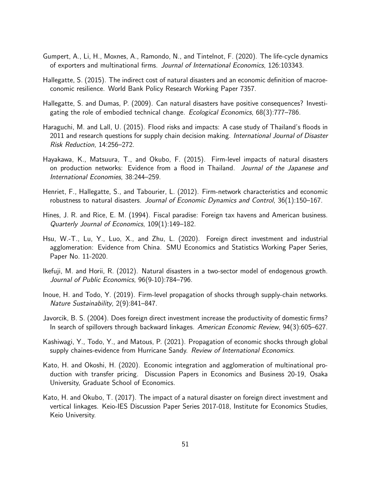- Gumpert, A., Li, H., Moxnes, A., Ramondo, N., and Tintelnot, F. (2020). The life-cycle dynamics of exporters and multinational firms. *Journal of International Economics*, 126:103343.
- Hallegatte, S. (2015). The indirect cost of natural disasters and an economic definition of macroeconomic resilience. World Bank Policy Research Working Paper 7357.
- Hallegatte, S. and Dumas, P. (2009). Can natural disasters have positive consequences? Investigating the role of embodied technical change. *Ecological Economics*, 68(3):777–786.
- Haraguchi, M. and Lall, U. (2015). Flood risks and impacts: A case study of Thailand's floods in 2011 and research questions for supply chain decision making. *International Journal of Disaster Risk Reduction*, 14:256–272.
- Hayakawa, K., Matsuura, T., and Okubo, F. (2015). Firm-level impacts of natural disasters on production networks: Evidence from a flood in Thailand. *Journal of the Japanese and International Economies*, 38:244–259.
- Henriet, F., Hallegatte, S., and Tabourier, L. (2012). Firm-network characteristics and economic robustness to natural disasters. *Journal of Economic Dynamics and Control*, 36(1):150–167.
- Hines, J. R. and Rice, E. M. (1994). Fiscal paradise: Foreign tax havens and American business. *Quarterly Journal of Economics*, 109(1):149–182.
- Hsu, W.-T., Lu, Y., Luo, X., and Zhu, L. (2020). Foreign direct investment and industrial agglomeration: Evidence from China. SMU Economics and Statistics Working Paper Series, Paper No. 11-2020.
- Ikefuji, M. and Horii, R. (2012). Natural disasters in a two-sector model of endogenous growth. *Journal of Public Economics*, 96(9-10):784–796.
- Inoue, H. and Todo, Y. (2019). Firm-level propagation of shocks through supply-chain networks. *Nature Sustainability*, 2(9):841–847.
- Javorcik, B. S. (2004). Does foreign direct investment increase the productivity of domestic firms? In search of spillovers through backward linkages. *American Economic Review*, 94(3):605–627.
- Kashiwagi, Y., Todo, Y., and Matous, P. (2021). Propagation of economic shocks through global supply chaines-evidence from Hurricane Sandy. *Review of International Economics*.
- Kato, H. and Okoshi, H. (2020). Economic integration and agglomeration of multinational production with transfer pricing. Discussion Papers in Economics and Business 20-19, Osaka University, Graduate School of Economics.
- Kato, H. and Okubo, T. (2017). The impact of a natural disaster on foreign direct investment and vertical linkages. Keio-IES Discussion Paper Series 2017-018, Institute for Economics Studies, Keio University.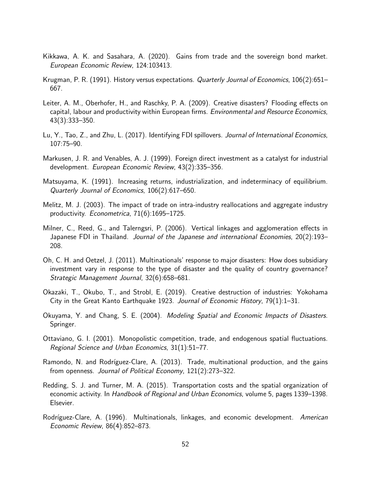- Kikkawa, A. K. and Sasahara, A. (2020). Gains from trade and the sovereign bond market. *European Economic Review*, 124:103413.
- Krugman, P. R. (1991). History versus expectations. *Quarterly Journal of Economics*, 106(2):651– 667.
- Leiter, A. M., Oberhofer, H., and Raschky, P. A. (2009). Creative disasters? Flooding effects on capital, labour and productivity within European firms. *Environmental and Resource Economics*, 43(3):333–350.
- Lu, Y., Tao, Z., and Zhu, L. (2017). Identifying FDI spillovers. *Journal of International Economics*, 107:75–90.
- Markusen, J. R. and Venables, A. J. (1999). Foreign direct investment as a catalyst for industrial development. *European Economic Review*, 43(2):335–356.
- Matsuyama, K. (1991). Increasing returns, industrialization, and indeterminacy of equilibrium. *Quarterly Journal of Economics*, 106(2):617–650.
- Melitz, M. J. (2003). The impact of trade on intra-industry reallocations and aggregate industry productivity. *Econometrica*, 71(6):1695–1725.
- Milner, C., Reed, G., and Talerngsri, P. (2006). Vertical linkages and agglomeration effects in Japanese FDI in Thailand. *Journal of the Japanese and international Economies*, 20(2):193– 208.
- Oh, C. H. and Oetzel, J. (2011). Multinationals' response to major disasters: How does subsidiary investment vary in response to the type of disaster and the quality of country governance? *Strategic Management Journal*, 32(6):658–681.
- Okazaki, T., Okubo, T., and Strobl, E. (2019). Creative destruction of industries: Yokohama City in the Great Kanto Earthquake 1923. *Journal of Economic History*, 79(1):1–31.
- Okuyama, Y. and Chang, S. E. (2004). *Modeling Spatial and Economic Impacts of Disasters*. Springer.
- Ottaviano, G. I. (2001). Monopolistic competition, trade, and endogenous spatial fluctuations. *Regional Science and Urban Economics*, 31(1):51–77.
- Ramondo, N. and Rodríguez-Clare, A. (2013). Trade, multinational production, and the gains from openness. *Journal of Political Economy*, 121(2):273–322.
- Redding, S. J. and Turner, M. A. (2015). Transportation costs and the spatial organization of economic activity. In *Handbook of Regional and Urban Economics*, volume 5, pages 1339–1398. Elsevier.
- Rodríguez-Clare, A. (1996). Multinationals, linkages, and economic development. *American Economic Review*, 86(4):852–873.